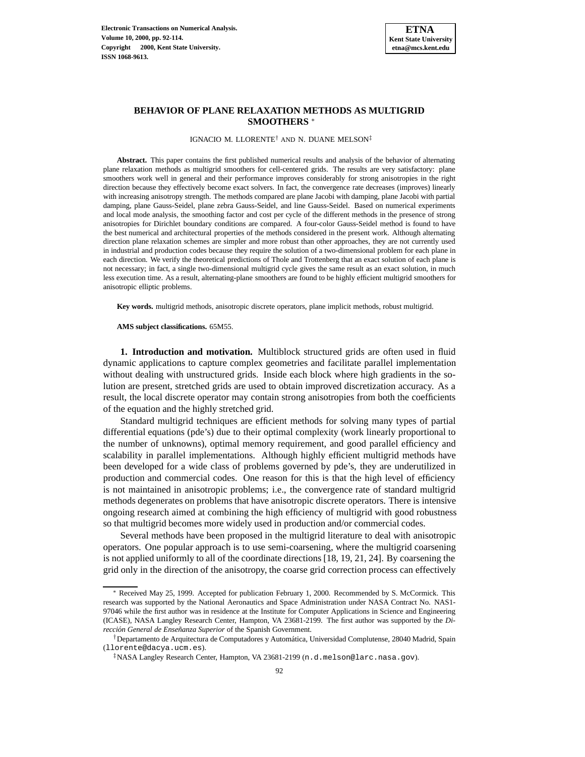

# **BEHAVIOR OF PLANE RELAXATION METHODS AS MULTIGRID SMOOTHERS** <sup>∗</sup>

IGNACIO M. LLORENTE† AND N. DUANE MELSON‡

**Abstract.** This paper contains the first published numerical results and analysis of the behavior of alternating plane relaxation methods as multigrid smoothers for cell-centered grids. The results are very satisfactory: plane smoothers work well in general and their performance improves considerably for strong anisotropies in the right direction because they effectively become exact solvers. In fact, the convergence rate decreases (improves) linearly with increasing anisotropy strength. The methods compared are plane Jacobi with damping, plane Jacobi with partial damping, plane Gauss-Seidel, plane zebra Gauss-Seidel, and line Gauss-Seidel. Based on numerical experiments and local mode analysis, the smoothing factor and cost per cycle of the different methods in the presence of strong anisotropies for Dirichlet boundary conditions are compared. A four-color Gauss-Seidel method is found to have the best numerical and architectural properties of the methods considered in the present work. Although alternating direction plane relaxation schemes are simpler and more robust than other approaches, they are not currently used in industrial and production codes because they require the solution of a two-dimensional problem for each plane in each direction. We verify the theoretical predictions of Thole and Trottenberg that an exact solution of each plane is not necessary; in fact, a single two-dimensional multigrid cycle gives the same result as an exact solution, in much less execution time. As a result, alternating-plane smoothers are found to be highly efficient multigrid smoothers for anisotropic elliptic problems.

**Key words.** multigrid methods, anisotropic discrete operators, plane implicit methods, robust multigrid.

**AMS subject classifications.** 65M55.

**1. Introduction and motivation.** Multiblock structured grids are often used in fluid dynamic applications to capture complex geometries and facilitate parallel implementation without dealing with unstructured grids. Inside each block where high gradients in the solution are present, stretched grids are used to obtain improved discretization accuracy. As a result, the local discrete operator may contain strong anisotropies from both the coefficients of the equation and the highly stretched grid.

Standard multigrid techniques are efficient methods for solving many types of partial differential equations (pde's) due to their optimal complexity (work linearly proportional to the number of unknowns), optimal memory requirement, and good parallel efficiency and scalability in parallel implementations. Although highly efficient multigrid methods have been developed for a wide class of problems governed by pde's, they are underutilized in production and commercial codes. One reason for this is that the high level of efficiency is not maintained in anisotropic problems; i.e., the convergence rate of standard multigrid methods degenerates on problems that have anisotropic discrete operators. There is intensive ongoing research aimed at combining the high efficiency of multigrid with good robustness so that multigrid becomes more widely used in production and/or commercial codes.

Several methods have been proposed in the multigrid literature to deal with anisotropic operators. One popular approach is to use semi-coarsening, where the multigrid coarsening is not applied uniformly to all of the coordinate directions [18, 19, 21, 24]. By coarsening the grid only in the direction of the anisotropy, the coarse grid correction process can effectively

<sup>∗</sup> Received May 25, 1999. Accepted for publication February 1, 2000. Recommended by S. McCormick. This research was supported by the National Aeronautics and Space Administration under NASA Contract No. NAS1- 97046 while the first author was in residence at the Institute for Computer Applications in Science and Engineering (ICASE), NASA Langley Research Center, Hampton, VA 23681-2199. The first author was supported by the *Di*rección General de Enseñanza Superior of the Spanish Government.

<sup>†</sup>Departamento de Arquitectura de Computadores y Autom´atica, Universidad Complutense, 28040 Madrid, Spain (llorente@dacya.ucm.es).

<sup>‡</sup>NASA Langley Research Center, Hampton, VA 23681-2199 (n.d.melson@larc.nasa.gov).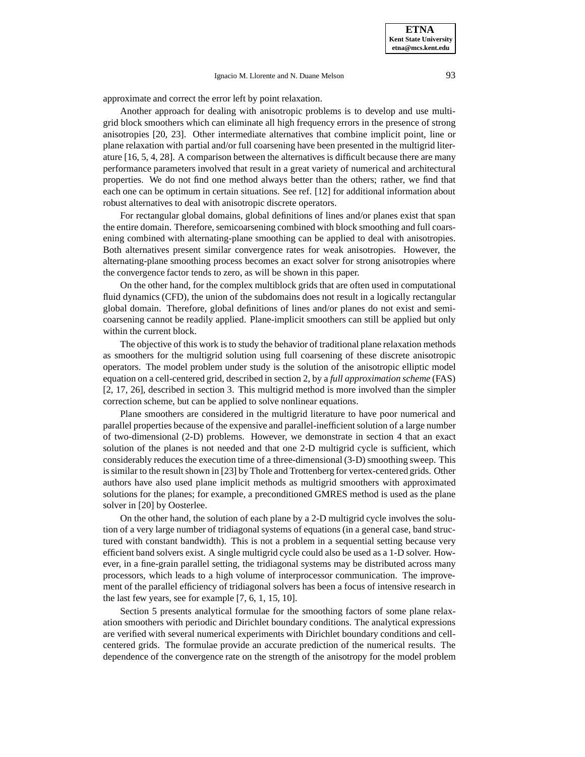approximate and correct the error left by point relaxation.

Another approach for dealing with anisotropic problems is to develop and use multigrid block smoothers which can eliminate all high frequency errors in the presence of strong anisotropies [20, 23]. Other intermediate alternatives that combine implicit point, line or plane relaxation with partial and/or full coarsening have been presented in the multigrid literature [16, 5, 4, 28]. A comparison between the alternatives is difficult because there are many performance parameters involved that result in a great variety of numerical and architectural properties. We do not find one method always better than the others; rather, we find that each one can be optimum in certain situations. See ref. [12] for additional information about robust alternatives to deal with anisotropic discrete operators.

For rectangular global domains, global definitions of lines and/or planes exist that span the entire domain. Therefore, semicoarsening combined with block smoothing and full coarsening combined with alternating-plane smoothing can be applied to deal with anisotropies. Both alternatives present similar convergence rates for weak anisotropies. However, the alternating-plane smoothing process becomes an exact solver for strong anisotropies where the convergence factor tends to zero, as will be shown in this paper.

On the other hand, for the complex multiblock grids that are often used in computational fluid dynamics (CFD), the union of the subdomains does not result in a logically rectangular global domain. Therefore, global definitions of lines and/or planes do not exist and semicoarsening cannot be readily applied. Plane-implicit smoothers can still be applied but only within the current block.

The objective of this work is to study the behavior of traditional plane relaxation methods as smoothers for the multigrid solution using full coarsening of these discrete anisotropic operators. The model problem under study is the solution of the anisotropic elliptic model equation on a cell-centered grid, described in section 2, by a *full approximation scheme* (FAS) [2, 17, 26], described in section 3. This multigrid method is more involved than the simpler correction scheme, but can be applied to solve nonlinear equations.

Plane smoothers are considered in the multigrid literature to have poor numerical and parallel properties because of the expensive and parallel-inefficient solution of a large number of two-dimensional (2-D) problems. However, we demonstrate in section 4 that an exact solution of the planes is not needed and that one 2-D multigrid cycle is sufficient, which considerably reduces the execution time of a three-dimensional (3-D) smoothing sweep. This is similar to the result shown in [23] by Thole and Trottenberg for vertex-centered grids. Other authors have also used plane implicit methods as multigrid smoothers with approximated solutions for the planes; for example, a preconditioned GMRES method is used as the plane solver in [20] by Oosterlee.

On the other hand, the solution of each plane by a 2-D multigrid cycle involves the solution of a very large number of tridiagonal systems of equations (in a general case, band structured with constant bandwidth). This is not a problem in a sequential setting because very efficient band solvers exist. A single multigrid cycle could also be used as a 1-D solver. However, in a fine-grain parallel setting, the tridiagonal systems may be distributed across many processors, which leads to a high volume of interprocessor communication. The improvement of the parallel efficiency of tridiagonal solvers has been a focus of intensive research in the last few years, see for example [7, 6, 1, 15, 10].

Section 5 presents analytical formulae for the smoothing factors of some plane relaxation smoothers with periodic and Dirichlet boundary conditions. The analytical expressions are verified with several numerical experiments with Dirichlet boundary conditions and cellcentered grids. The formulae provide an accurate prediction of the numerical results. The dependence of the convergence rate on the strength of the anisotropy for the model problem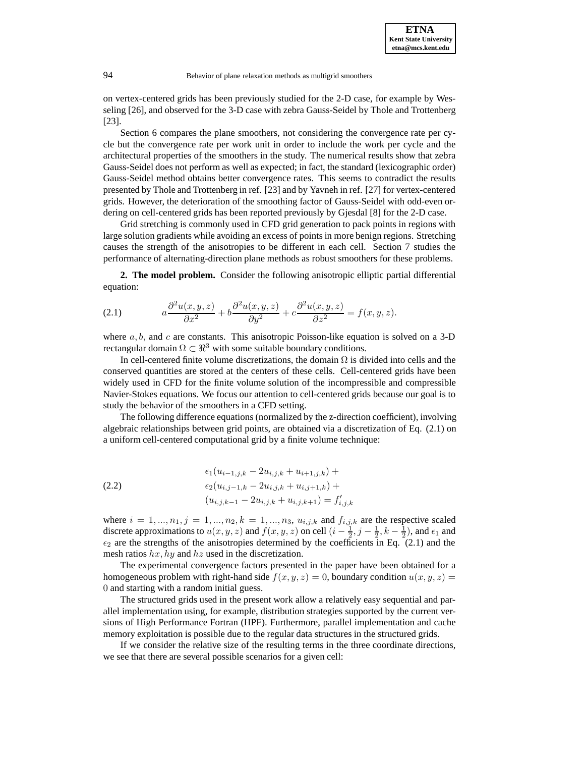on vertex-centered grids has been previously studied for the 2-D case, for example by Wesseling [26], and observed for the 3-D case with zebra Gauss-Seidel by Thole and Trottenberg [23].

Section 6 compares the plane smoothers, not considering the convergence rate per cycle but the convergence rate per work unit in order to include the work per cycle and the architectural properties of the smoothers in the study. The numerical results show that zebra Gauss-Seidel does not perform as well as expected; in fact, the standard (lexicographic order) Gauss-Seidel method obtains better convergence rates. This seems to contradict the results presented by Thole and Trottenberg in ref. [23] and by Yavneh in ref. [27] for vertex-centered grids. However, the deterioration of the smoothing factor of Gauss-Seidel with odd-even ordering on cell-centered grids has been reported previously by Gjesdal [8] for the 2-D case.

Grid stretching is commonly used in CFD grid generation to pack points in regions with large solution gradients while avoiding an excess of points in more benign regions. Stretching causes the strength of the anisotropies to be different in each cell. Section 7 studies the performance of alternating-direction plane methods as robust smoothers for these problems.

**2. The model problem.** Consider the following anisotropic elliptic partial differential equation:

(2.1) 
$$
a\frac{\partial^2 u(x,y,z)}{\partial x^2} + b\frac{\partial^2 u(x,y,z)}{\partial y^2} + c\frac{\partial^2 u(x,y,z)}{\partial z^2} = f(x,y,z).
$$

where  $a, b$ , and c are constants. This anisotropic Poisson-like equation is solved on a 3-D rectangular domain  $\Omega \subset \mathbb{R}^3$  with some suitable boundary conditions.

In cell-centered finite volume discretizations, the domain  $\Omega$  is divided into cells and the conserved quantities are stored at the centers of these cells. Cell-centered grids have been widely used in CFD for the finite volume solution of the incompressible and compressible Navier-Stokes equations. We focus our attention to cell-centered grids because our goal is to study the behavior of the smoothers in a CFD setting.

The following difference equations (normalized by the z-direction coefficient), involving algebraic relationships between grid points, are obtained via a discretization of Eq. (2.1) on a uniform cell-centered computational grid by a finite volume technique:

(2.2) 
$$
\epsilon_1 (u_{i-1,j,k} - 2u_{i,j,k} + u_{i+1,j,k}) +
$$

$$
\epsilon_2 (u_{i,j-1,k} - 2u_{i,j,k} + u_{i,j+1,k}) +
$$

$$
(u_{i,j,k-1} - 2u_{i,j,k} + u_{i,j,k+1}) = f'_{i,j,k}
$$

where  $i = 1, ..., n_1, j = 1, ..., n_2, k = 1, ..., n_3, u_{i,j,k}$  and  $f_{i,j,k}$  are the respective scaled discrete approximations to  $u(x, y, z)$  and  $f(x, y, z)$  on cell  $(i - \frac{1}{2}, j - \frac{1}{2}, k - \frac{1}{2})$ , and  $\epsilon_1$  and  $\epsilon_2$  are the strengths of the anisotropies determined by the coefficients in Eq. (2.1) and the mesh ratios  $hx, hy$  and  $hz$  used in the discretization.

The experimental convergence factors presented in the paper have been obtained for a homogeneous problem with right-hand side  $f(x, y, z)=0$ , boundary condition  $u(x, y, z) =$ 0 and starting with a random initial guess.

The structured grids used in the present work allow a relatively easy sequential and parallel implementation using, for example, distribution strategies supported by the current versions of High Performance Fortran (HPF). Furthermore, parallel implementation and cache memory exploitation is possible due to the regular data structures in the structured grids.

If we consider the relative size of the resulting terms in the three coordinate directions, we see that there are several possible scenarios for a given cell: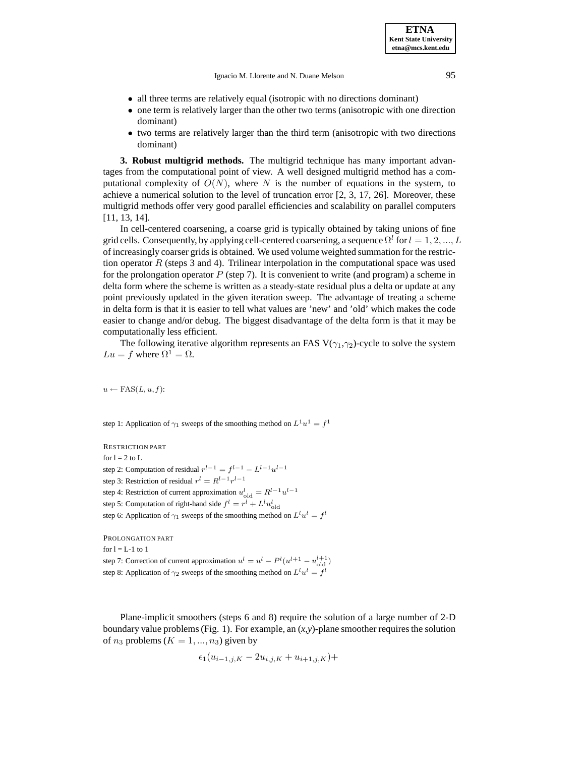Ignacio M. Llorente and N. Duane Melson 95

**ETNA Kent State University etna@mcs.kent.edu**

- all three terms are relatively equal (isotropic with no directions dominant)
- one term is relatively larger than the other two terms (anisotropic with one direction dominant)
- two terms are relatively larger than the third term (anisotropic with two directions dominant)

**3. Robust multigrid methods.** The multigrid technique has many important advantages from the computational point of view. A well designed multigrid method has a computational complexity of  $O(N)$ , where N is the number of equations in the system, to achieve a numerical solution to the level of truncation error [2, 3, 17, 26]. Moreover, these multigrid methods offer very good parallel efficiencies and scalability on parallel computers [11, 13, 14].

In cell-centered coarsening, a coarse grid is typically obtained by taking unions of fine grid cells. Consequently, by applying cell-centered coarsening, a sequence  $\Omega^l$  for  $l = 1, 2, ..., L$ of increasingly coarser grids is obtained. We used volume weighted summation for the restriction operator  $R$  (steps 3 and 4). Trilinear interpolation in the computational space was used for the prolongation operator  $P$  (step 7). It is convenient to write (and program) a scheme in delta form where the scheme is written as a steady-state residual plus a delta or update at any point previously updated in the given iteration sweep. The advantage of treating a scheme in delta form is that it is easier to tell what values are 'new' and 'old' which makes the code easier to change and/or debug. The biggest disadvantage of the delta form is that it may be computationally less efficient.

The following iterative algorithm represents an FAS V( $\gamma_1, \gamma_2$ )-cycle to solve the system  $Lu = f$  where  $\Omega^1 = \Omega$ .

 $u \leftarrow \text{FAS}(L, u, f)$ :

step 1: Application of  $\gamma_1$  sweeps of the smoothing method on  $L^1u^1 = f^1$ 

RESTRICTION PART for  $l = 2$  to L step 2: Computation of residual  $r^{l-1} = f^{l-1} - L^{l-1}u^{l-1}$ step 3: Restriction of residual  $r^l = R^{l-1}r^{l-1}$ step 4: Restriction of current approximation  $u_{old}^l = R^{l-1}u^{l-1}$ step 5: Computation of right-hand side  $f^l = r^l + L^l u_{old}^l$ step 6: Application of  $\gamma_1$  sweeps of the smoothing method on  $L^l u^l = f^l$ 

PROLONGATION PART for  $l = L-1$  to 1 step 7: Correction of current approximation  $u^l = u^l - P^l(u^{l+1} - u_{old}^{l+1})$ step 8: Application of  $\gamma_2$  sweeps of the smoothing method on  $L^l u^l = f^l$ 

Plane-implicit smoothers (steps 6 and 8) require the solution of a large number of 2-D boundary value problems (Fig. 1). For example, an (*x*,*y*)-plane smoother requires the solution of  $n_3$  problems  $(K = 1, ..., n_3)$  given by

$$
\epsilon_1(u_{i-1,j,K} - 2u_{i,j,K} + u_{i+1,j,K}) +
$$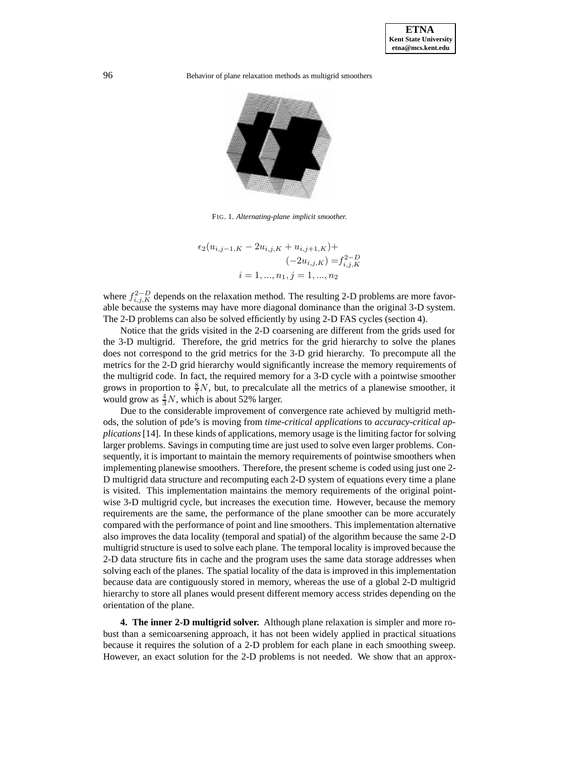

FIG. 1. *Alternating-plane implicit smoother.*

$$
\epsilon_2(u_{i,j-1,K} - 2u_{i,j,K} + u_{i,j+1,K}) +
$$
  

$$
(-2u_{i,j,K}) = f_{i,j,K}^{2-D}
$$
  

$$
i = 1, ..., n_1, j = 1, ..., n_2
$$

where  $f_{i,j,K}^{2-D}$  depends on the relaxation method. The resulting 2-D problems are more favorable because the systems may have more diagonal dominance than the original 3-D system. The 2-D problems can also be solved efficiently by using 2-D FAS cycles (section 4).

Notice that the grids visited in the 2-D coarsening are different from the grids used for the 3-D multigrid. Therefore, the grid metrics for the grid hierarchy to solve the planes does not correspond to the grid metrics for the 3-D grid hierarchy. To precompute all the metrics for the 2-D grid hierarchy would significantly increase the memory requirements of the multigrid code. In fact, the required memory for a 3-D cycle with a pointwise smoother grows in proportion to  $\frac{8}{7}N$ , but, to precalculate all the metrics of a planewise smoother, it would grow as  $\frac{4}{3}N$ , which is about 52% larger.

Due to the considerable improvement of convergence rate achieved by multigrid methods, the solution of pde's is moving from *time-critical applications* to *accuracy-critical applications*[14]. In these kinds of applications, memory usage is the limiting factor for solving larger problems. Savings in computing time are just used to solve even larger problems. Consequently, it is important to maintain the memory requirements of pointwise smoothers when implementing planewise smoothers. Therefore, the present scheme is coded using just one 2- D multigrid data structure and recomputing each 2-D system of equations every time a plane is visited. This implementation maintains the memory requirements of the original pointwise 3-D multigrid cycle, but increases the execution time. However, because the memory requirements are the same, the performance of the plane smoother can be more accurately compared with the performance of point and line smoothers. This implementation alternative also improves the data locality (temporal and spatial) of the algorithm because the same 2-D multigrid structure is used to solve each plane. The temporal locality is improved because the 2-D data structure fits in cache and the program uses the same data storage addresses when solving each of the planes. The spatial locality of the data is improved in this implementation because data are contiguously stored in memory, whereas the use of a global 2-D multigrid hierarchy to store all planes would present different memory access strides depending on the orientation of the plane.

**4. The inner 2-D multigrid solver.** Although plane relaxation is simpler and more robust than a semicoarsening approach, it has not been widely applied in practical situations because it requires the solution of a 2-D problem for each plane in each smoothing sweep. However, an exact solution for the 2-D problems is not needed. We show that an approx-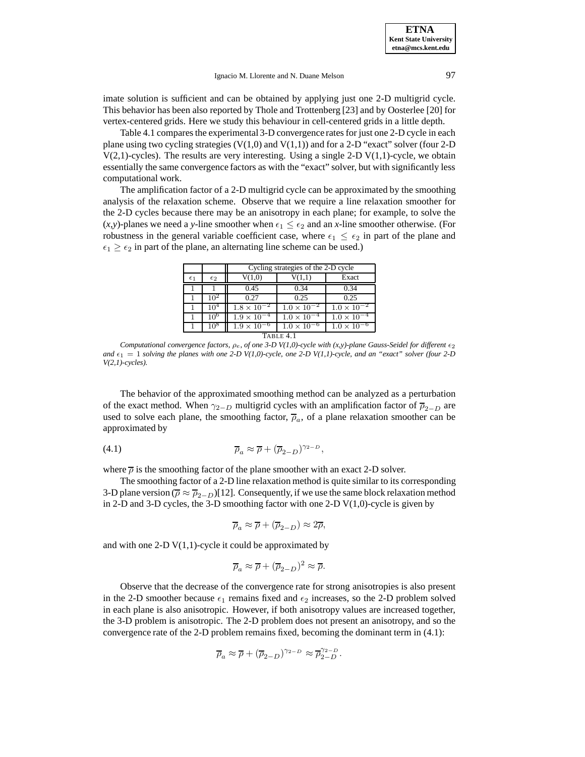imate solution is sufficient and can be obtained by applying just one 2-D multigrid cycle. This behavior has been also reported by Thole and Trottenberg [23] and by Oosterlee [20] for vertex-centered grids. Here we study this behaviour in cell-centered grids in a little depth.

Table 4.1 compares the experimental 3-D convergence rates for just one 2-D cycle in each plane using two cycling strategies  $(V(1,0)$  and  $V(1,1))$  and for a 2-D "exact" solver (four 2-D  $V(2,1)$ -cycles). The results are very interesting. Using a single 2-D  $V(1,1)$ -cycle, we obtain essentially the same convergence factors as with the "exact" solver, but with significantly less computational work.

The amplification factor of a 2-D multigrid cycle can be approximated by the smoothing analysis of the relaxation scheme. Observe that we require a line relaxation smoother for the 2-D cycles because there may be an anisotropy in each plane; for example, to solve the  $(x,y)$ -planes we need a *y*-line smoother when  $\epsilon_1 \leq \epsilon_2$  and an *x*-line smoother otherwise. (For robustness in the general variable coefficient case, where  $\epsilon_1 \leq \epsilon_2$  in part of the plane and  $\epsilon_1 \geq \epsilon_2$  in part of the plane, an alternating line scheme can be used.)

|              |                 | Cycling strategies of the 2-D cycle |                                 |                      |  |  |  |  |
|--------------|-----------------|-------------------------------------|---------------------------------|----------------------|--|--|--|--|
| $\epsilon_1$ | $\epsilon_2$    | V(1,0)                              | V(1,1)                          | Exact                |  |  |  |  |
|              |                 | 0.45                                | 0.34                            | 0.34                 |  |  |  |  |
|              | 10 <sup>2</sup> | 0.27                                | 0.25                            | 0.25                 |  |  |  |  |
|              | 10 <sup>4</sup> | $1.8 \times 10^{-2}$                | $\overline{1.0 \times 10^{-2}}$ | $1.0 \times 10^{-2}$ |  |  |  |  |
|              | 10°             | $1.9 \times 10^{-4}$                | $1.0 \times 10^{-4}$            | $1.0 \times 10^{-4}$ |  |  |  |  |
|              | 10 <sup>8</sup> | $1.9 \times 10^{-6}$                | $1.0 \times 10^{-6}$            | $1.0 \times 10^{-6}$ |  |  |  |  |
| TABLE 4.1    |                 |                                     |                                 |                      |  |  |  |  |

*Computational convergence factors,*  $\rho_e$ , of one 3-D V(1,0)-cycle with (x,y)-plane Gauss-Seidel for different  $\epsilon_2$ *and*  $\epsilon_1 = 1$  *solving the planes with one 2-D V(1,0)-cycle, one 2-D V(1,1)-cycle, and an "exact" solver (four 2-D V(2,1)-cycles).*

The behavior of the approximated smoothing method can be analyzed as a perturbation of the exact method. When  $\gamma_{2-D}$  multigrid cycles with an amplification factor of  $\bar{p}_{2-D}$  are used to solve each plane, the smoothing factor,  $\overline{\rho}_a$ , of a plane relaxation smoother can be approximated by

(4.1) 
$$
\overline{\rho}_a \approx \overline{\rho} + (\overline{\rho}_{2-D})^{\gamma_{2-D}},
$$

where  $\overline{\rho}$  is the smoothing factor of the plane smoother with an exact 2-D solver.

The smoothing factor of a 2-D line relaxation method is quite similar to its corresponding 3-D plane version ( $\overline{\rho} \approx \overline{\rho}_{2-D}$ )[12]. Consequently, if we use the same block relaxation method in 2-D and 3-D cycles, the 3-D smoothing factor with one 2-D  $V(1,0)$ -cycle is given by

$$
\overline{\rho}_a \approx \overline{\rho} + (\overline{\rho}_{2-D}) \approx 2\overline{\rho},
$$

and with one 2-D  $V(1,1)$ -cycle it could be approximated by

$$
\overline{\rho}_a \approx \overline{\rho} + (\overline{\rho}_{2-D})^2 \approx \overline{\rho}.
$$

Observe that the decrease of the convergence rate for strong anisotropies is also present in the 2-D smoother because  $\epsilon_1$  remains fixed and  $\epsilon_2$  increases, so the 2-D problem solved in each plane is also anisotropic. However, if both anisotropy values are increased together, the 3-D problem is anisotropic. The 2-D problem does not present an anisotropy, and so the convergence rate of the 2-D problem remains fixed, becoming the dominant term in (4.1):

$$
\overline{\rho}_a \approx \overline{\rho} + (\overline{\rho}_{2-D})^{\gamma_{2-D}} \approx \overline{\rho}_{2-D}^{\gamma_{2-D}}.
$$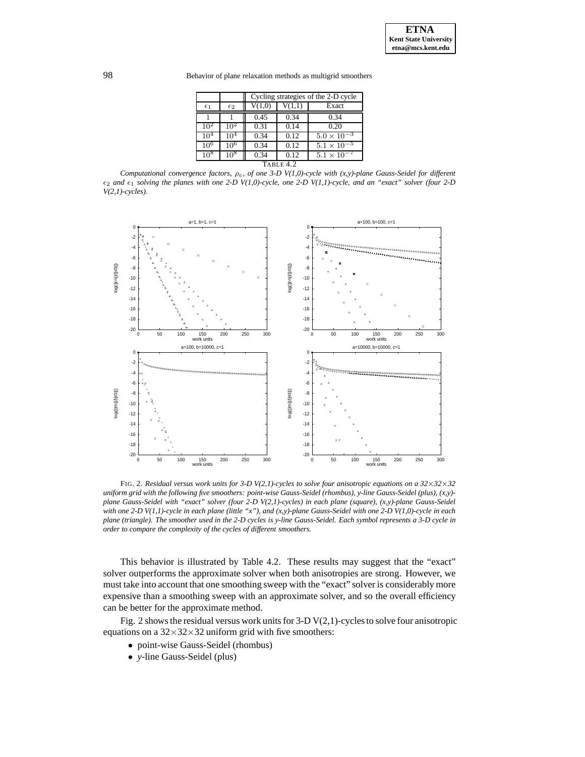98 Behavior of plane relaxation methods as multigrid smoothers

|                 |                 | Cycling strategies of the 2-D cycle |        |                      |  |  |  |
|-----------------|-----------------|-------------------------------------|--------|----------------------|--|--|--|
| $\epsilon_1$    | $\epsilon_2$    | V(1,0)                              | V(1,1) | Exact                |  |  |  |
|                 |                 | 0.45                                | 0.34   | 0.34                 |  |  |  |
| $10^{2}$        | $10^2$          | 0.31                                | 0.14   | 0.20                 |  |  |  |
| 10 <sup>4</sup> | 10 <sup>4</sup> | 0.34                                | 0.12   | $5.0 \times 10^{-3}$ |  |  |  |
| 10 <sup>6</sup> | 106             | 0.34                                | 0.12   | $5.1 \times 10^{-5}$ |  |  |  |
| 10*             | 10 <sup>8</sup> | 0.34                                | 0.12   | $5.1 \times 10^{-7}$ |  |  |  |
| $T$ ABLE 4.2    |                 |                                     |        |                      |  |  |  |

*Computational convergence factors,* ρe*, of one 3-D V(1,0)-cycle with (x,y)-plane Gauss-Seidel for different*  $\epsilon_2$  and  $\epsilon_1$  solving the planes with one 2-D V(1,0)-cycle, one 2-D V(1,1)-cycle, and an "exact" solver (four 2-D *V(2,1)-cycles).*



FIG. 2. *Residual versus work units for 3-D V(2,1)-cycles to solve four anisotropic equations on a 32*×*32*×*32 uniform grid with the following five smoothers: point-wise Gauss-Seidel (rhombus), y-line Gauss-Seidel (plus), (x,y) plane Gauss-Seidel with "exact" solver (four 2-D V(2,1)-cycles) in each plane (square), (x,y)-plane Gauss-Seidel with one 2-D V(1,1)-cycle in each plane (little "x"), and (x,y)-plane Gauss-Seidel with one 2-D V(1,0)-cycle in each plane (triangle). The smoother used in the 2-D cycles is y-line Gauss-Seidel. Each symbol represents a 3-D cycle in order to compare the complexity of the cycles of different smoothers.*

This behavior is illustrated by Table 4.2. These results may suggest that the "exact" solver outperforms the approximate solver when both anisotropies are strong. However, we must take into account that one smoothing sweep with the "exact" solver is considerably more expensive than a smoothing sweep with an approximate solver, and so the overall efficiency can be better for the approximate method.

Fig. 2 shows the residual versus work units for  $3-D$  V(2,1)-cycles to solve four anisotropic equations on a  $32\times32\times32$  uniform grid with five smoothers:

- point-wise Gauss-Seidel (rhombus)
- *y*-line Gauss-Seidel (plus)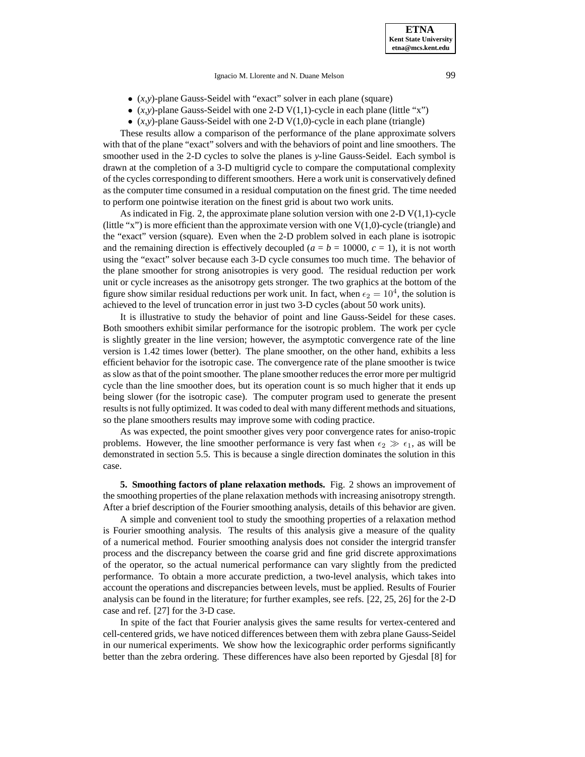Ignacio M. Llorente and N. Duane Melson 99

- (*x,y*)-plane Gauss-Seidel with "exact" solver in each plane (square)
- $(x, y)$ -plane Gauss-Seidel with one 2-D V $(1, 1)$ -cycle in each plane (little "x")
- $(x, y)$ -plane Gauss-Seidel with one 2-D V $(1, 0)$ -cycle in each plane (triangle)

These results allow a comparison of the performance of the plane approximate solvers with that of the plane "exact" solvers and with the behaviors of point and line smoothers. The smoother used in the 2-D cycles to solve the planes is *y*-line Gauss-Seidel. Each symbol is drawn at the completion of a 3-D multigrid cycle to compare the computational complexity of the cycles corresponding to different smoothers. Here a work unit is conservatively defined as the computer time consumed in a residual computation on the finest grid. The time needed to perform one pointwise iteration on the finest grid is about two work units.

As indicated in Fig. 2, the approximate plane solution version with one 2-D  $V(1,1)$ -cycle (little "x") is more efficient than the approximate version with one  $V(1,0)$ -cycle (triangle) and the "exact" version (square). Even when the 2-D problem solved in each plane is isotropic and the remaining direction is effectively decoupled ( $a = b = 10000$ ,  $c = 1$ ), it is not worth using the "exact" solver because each 3-D cycle consumes too much time. The behavior of the plane smoother for strong anisotropies is very good. The residual reduction per work unit or cycle increases as the anisotropy gets stronger. The two graphics at the bottom of the figure show similar residual reductions per work unit. In fact, when  $\epsilon_2 = 10^4$ , the solution is achieved to the level of truncation error in just two 3-D cycles (about 50 work units).

It is illustrative to study the behavior of point and line Gauss-Seidel for these cases. Both smoothers exhibit similar performance for the isotropic problem. The work per cycle is slightly greater in the line version; however, the asymptotic convergence rate of the line version is 1.42 times lower (better). The plane smoother, on the other hand, exhibits a less efficient behavior for the isotropic case. The convergence rate of the plane smoother is twice as slow as that of the point smoother. The plane smoother reduces the error more per multigrid cycle than the line smoother does, but its operation count is so much higher that it ends up being slower (for the isotropic case). The computer program used to generate the present results is not fully optimized. It was coded to deal with many different methods and situations, so the plane smoothers results may improve some with coding practice.

As was expected, the point smoother gives very poor convergence rates for aniso-tropic problems. However, the line smoother performance is very fast when  $\epsilon_2 \gg \epsilon_1$ , as will be demonstrated in section 5.5. This is because a single direction dominates the solution in this case.

**5. Smoothing factors of plane relaxation methods.** Fig. 2 shows an improvement of the smoothing properties of the plane relaxation methods with increasing anisotropy strength. After a brief description of the Fourier smoothing analysis, details of this behavior are given.

A simple and convenient tool to study the smoothing properties of a relaxation method is Fourier smoothing analysis. The results of this analysis give a measure of the quality of a numerical method. Fourier smoothing analysis does not consider the intergrid transfer process and the discrepancy between the coarse grid and fine grid discrete approximations of the operator, so the actual numerical performance can vary slightly from the predicted performance. To obtain a more accurate prediction, a two-level analysis, which takes into account the operations and discrepancies between levels, must be applied. Results of Fourier analysis can be found in the literature; for further examples, see refs. [22, 25, 26] for the 2-D case and ref. [27] for the 3-D case.

In spite of the fact that Fourier analysis gives the same results for vertex-centered and cell-centered grids, we have noticed differences between them with zebra plane Gauss-Seidel in our numerical experiments. We show how the lexicographic order performs significantly better than the zebra ordering. These differences have also been reported by Gjesdal [8] for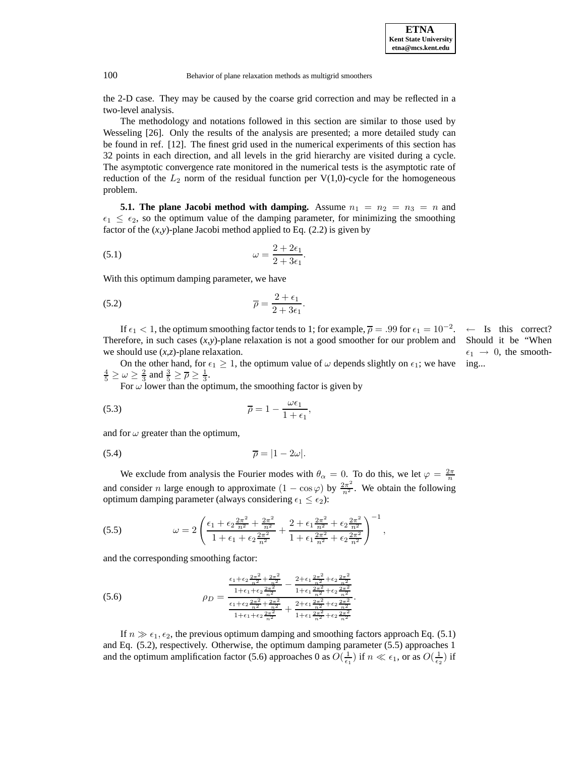100 Behavior of plane relaxation methods as multigrid smoothers

the 2-D case. They may be caused by the coarse grid correction and may be reflected in a two-level analysis.

The methodology and notations followed in this section are similar to those used by Wesseling [26]. Only the results of the analysis are presented; a more detailed study can be found in ref. [12]. The finest grid used in the numerical experiments of this section has 32 points in each direction, and all levels in the grid hierarchy are visited during a cycle. The asymptotic convergence rate monitored in the numerical tests is the asymptotic rate of reduction of the  $L_2$  norm of the residual function per V(1,0)-cycle for the homogeneous problem.

**5.1. The plane Jacobi method with damping.** Assume  $n_1 = n_2 = n_3 = n$  and  $\epsilon_1 \leq \epsilon_2$ , so the optimum value of the damping parameter, for minimizing the smoothing factor of the  $(x,y)$ -plane Jacobi method applied to Eq.  $(2.2)$  is given by

(5.1) 
$$
\omega = \frac{2 + 2\epsilon_1}{2 + 3\epsilon_1}.
$$

With this optimum damping parameter, we have

$$
\overline{\rho} = \frac{2 + \epsilon_1}{2 + 3\epsilon_1}.
$$

If  $\epsilon_1 < 1$ , the optimum smoothing factor tends to 1; for example,  $\overline{\rho} = .99$  for  $\epsilon_1 = 10^{-2}$ . ← Is this correct? Should it be "When  $\epsilon_1 \rightarrow 0$ , the smooth-Therefore, in such cases  $(x,y)$ -plane relaxation is not a good smoother for our problem and we should use (*x*,*z*)-plane relaxation.

On the other hand, for  $\epsilon_1 \geq 1$ , the optimum value of  $\omega$  depends slightly on  $\epsilon_1$ ; we have ing...  $\frac{4}{5} \ge \omega \ge \frac{2}{3}$  and  $\frac{3}{5} \ge \overline{\rho} \ge \frac{1}{3}$ .

For  $\omega$  lower than the optimum, the smoothing factor is given by

(5.3) 
$$
\overline{\rho} = 1 - \frac{\omega \epsilon_1}{1 + \epsilon_1},
$$

and for  $\omega$  greater than the optimum,

$$
\overline{\rho} = |1 - 2\omega|.
$$

We exclude from analysis the Fourier modes with  $\theta_{\alpha} = 0$ . To do this, we let  $\varphi = \frac{2\pi}{n}$ and consider *n* large enough to approximate  $(1 - \cos \varphi)$  by  $\frac{2\pi^2}{n^2}$ . We obtain the following optimum damping parameter (always considering  $\epsilon_1 \leq \epsilon_2$ ):

(5.5) 
$$
\omega = 2 \left( \frac{\epsilon_1 + \epsilon_2 \frac{2\pi^2}{n^2} + \frac{2\pi^2}{n^2}}{1 + \epsilon_1 + \epsilon_2 \frac{2\pi^2}{n^2}} + \frac{2 + \epsilon_1 \frac{2\pi^2}{n^2} + \epsilon_2 \frac{2\pi^2}{n^2}}{1 + \epsilon_1 \frac{2\pi^2}{n^2} + \epsilon_2 \frac{2\pi^2}{n^2}} \right)^{-1},
$$

and the corresponding smoothing factor:

$$
\rho_D = \frac{\frac{\epsilon_1 + \epsilon_2 \frac{2\pi^2}{n^2} + \frac{2\pi^2}{n^2}}{1 + \epsilon_1 \frac{2\pi^2}{n^2}} - \frac{2 + \epsilon_1 \frac{2\pi^2}{n^2} + \epsilon_2 \frac{2\pi^2}{n^2}}{1 + \epsilon_1 \frac{2\pi^2}{n^2} + \epsilon_2 \frac{2\pi^2}{n^2}}}{\frac{\epsilon_1 + \epsilon_2 \frac{2\pi^2}{n^2} + \frac{2\pi^2}{n^2}}{1 + \epsilon_1 \frac{2\pi^2}{n^2}} + \frac{2 + \epsilon_1 \frac{2\pi^2}{n^2} + \epsilon_2 \frac{2\pi^2}{n^2}}{1 + \epsilon_1 \frac{2\pi^2}{n^2} + \epsilon_2 \frac{2\pi^2}{n^2}}}
$$

If  $n \gg \epsilon_1, \epsilon_2$ , the previous optimum damping and smoothing factors approach Eq. (5.1) and Eq. (5.2), respectively. Otherwise, the optimum damping parameter (5.5) approaches 1 and the optimum amplification factor (5.6) approaches 0 as  $O(\frac{1}{\epsilon_1})$  if  $n \ll \epsilon_1$ , or as  $O(\frac{1}{\epsilon_2})$  if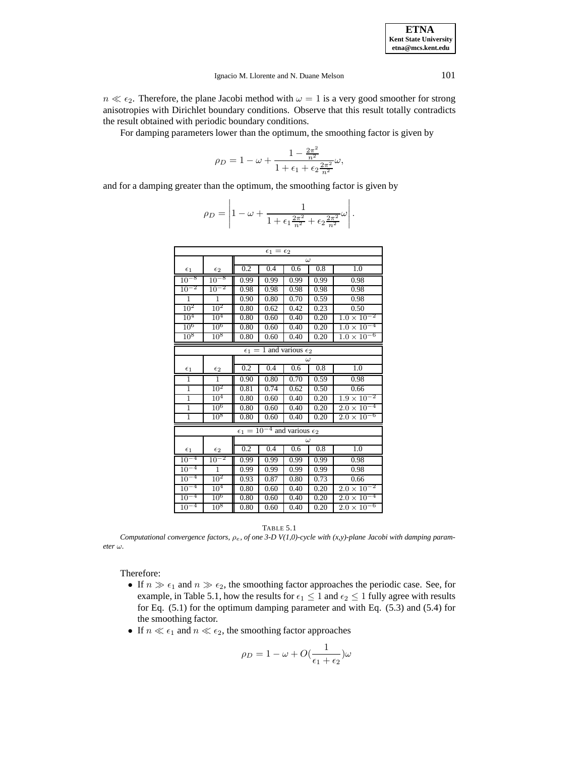$n \ll \epsilon_2$ . Therefore, the plane Jacobi method with  $\omega = 1$  is a very good smoother for strong anisotropies with Dirichlet boundary conditions. Observe that this result totally contradicts the result obtained with periodic boundary conditions.

For damping parameters lower than the optimum, the smoothing factor is given by

$$
\rho_D = 1 - \omega + \frac{1 - \frac{2\pi^2}{n^2}}{1 + \epsilon_1 + \epsilon_2 \frac{2\pi^2}{n^2}} \omega,
$$

and for a damping greater than the optimum, the smoothing factor is given by

 $\mathbf{I}$ 

$$
\rho_D = \left| 1 - \omega + \frac{1}{1 + \epsilon_1 \frac{2\pi^2}{n^2} + \epsilon_2 \frac{2\pi^2}{n^2}} \omega \right|.
$$

| $\epsilon_1=\epsilon_2$ |                 |      |                                                 |          |                   |                                 |  |
|-------------------------|-----------------|------|-------------------------------------------------|----------|-------------------|---------------------------------|--|
|                         |                 |      | $\omega$                                        |          |                   |                                 |  |
| $\epsilon_1$            | $\epsilon_2$    | 0.2  | 0.4                                             | 0.6      | 0.8               | 1.0                             |  |
| $10^{-8}$               | $10^{-8}$       | 0.99 | 0.99                                            | 0.99     | 0.99              | 0.98                            |  |
| $10^{-2}$               | $10^{-2}$       | 0.98 | 0.98                                            | 0.98     | 0.98              | 0.98                            |  |
| ī                       | $\overline{1}$  | 0.90 | 0.80                                            | 0.70     | 0.59              | 0.98                            |  |
| $10^{2}$                | $10^2$          | 0.80 | 0.62                                            | 0.42     | $\overline{0.23}$ | 0.50                            |  |
| $10^{4}$                | 10 <sup>4</sup> | 0.80 | 0.60                                            | 0.40     | 0.20              | $1.\overline{0 \times 10^{-2}}$ |  |
| $10^6$                  | $10^6$          | 0.80 | 0.60                                            | 0.40     | 0.20              | -4<br>$1.0 \times 10^{-7}$      |  |
| 10 <sup>8</sup>         | 10 <sup>8</sup> | 0.80 | 0.60                                            | 0.40     | 0.20              | -6<br>$1.0 \times 10^{-7}$      |  |
|                         |                 |      | $\epsilon_1 = 1$ and various $\epsilon_2$       |          |                   |                                 |  |
|                         |                 |      |                                                 |          | $\omega$          |                                 |  |
| $\epsilon_1$            | $\epsilon_2$    | 0.2  | 0.4                                             | 0.6      | 0.8               | 1.0                             |  |
| 1                       | 1               | 0.90 | 0.80                                            | 0.70     | 0.59              | 0.98                            |  |
| $\overline{1}$          | 10 <sup>2</sup> | 0.81 | 0.74                                            | 0.62     | 0.50              | 0.66                            |  |
| $\overline{1}$          | 10 <sup>4</sup> | 0.80 | 0.60                                            | 0.40     | 0.20              | $1.9 \times 10^{-2}$            |  |
| $\overline{1}$          | $10^6$          | 0.80 | 0.60                                            | 0.40     | 0.20              | $2.0 \times 10^{-4}$            |  |
| $\overline{1}$          | $10^{8}$        | 0.80 | 0.60                                            | 0.40     | 0.20              | $2.0 \times 10^{-6}$            |  |
|                         |                 |      | $\epsilon_1 = 10^{-4}$ and various $\epsilon_2$ |          |                   |                                 |  |
|                         |                 |      |                                                 | $\omega$ |                   |                                 |  |
| $\epsilon_1$            | $\epsilon_2$    | 0.2  | 0.4                                             | 0.6      | 0.8               | 1.0                             |  |
| $10^{-4}$               | $10^{-2}$       | 0.99 | 0.99                                            | 0.99     | 0.99              | 0.98                            |  |
| $10^{-4}$               | $\overline{1}$  | 0.99 | 0.99                                            | 0.99     | 0.99              | 0.98                            |  |
| $10^{-4}$               | 10 <sup>2</sup> | 0.93 | 0.87                                            | 0.80     | 0.73              | 0.66                            |  |
| $10^{-4}$               | 10 <sup>4</sup> | 0.80 | 0.60                                            | 0.40     | 0.20              | $2.0\times10$                   |  |
| $10^{-4}$               | $10^6$          | 0.80 | 0.60                                            | 0.40     | 0.20              | $2.\overline{0 \times 10^{-4}}$ |  |
| $10^{-4}$               | 10 <sup>8</sup> | 0.80 | 0.60                                            | 0.40     | 0.20              | $2.0 \times 10^{-6}$            |  |



*Computational convergence factors,* ρe*, of one 3-D V(1,0)-cycle with (x,y)-plane Jacobi with damping parameter*  $\omega$ .

Therefore:

- If  $n \gg \epsilon_1$  and  $n \gg \epsilon_2$ , the smoothing factor approaches the periodic case. See, for example, in Table 5.1, how the results for  $\epsilon_1 \leq 1$  and  $\epsilon_2 \leq 1$  fully agree with results for Eq. (5.1) for the optimum damping parameter and with Eq. (5.3) and (5.4) for the smoothing factor.
- If  $n \ll \epsilon_1$  and  $n \ll \epsilon_2$ , the smoothing factor approaches

$$
\rho_D = 1 - \omega + O(\frac{1}{\epsilon_1 + \epsilon_2})\omega
$$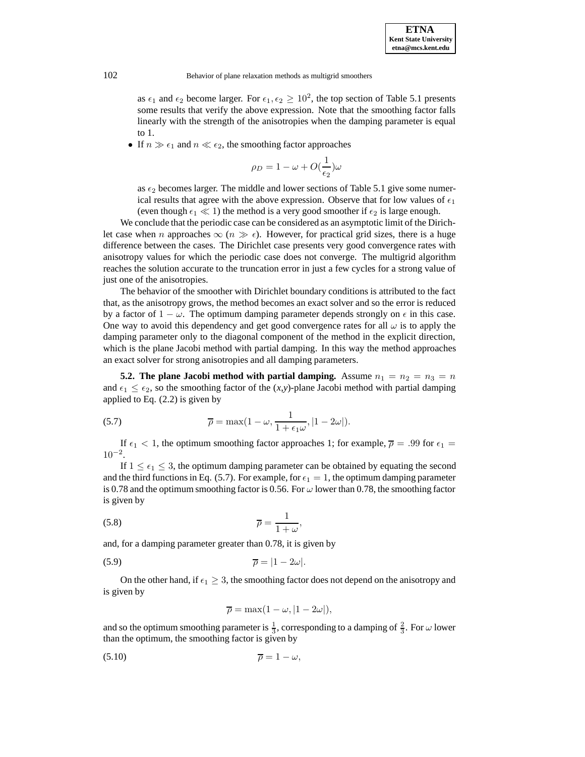as  $\epsilon_1$  and  $\epsilon_2$  become larger. For  $\epsilon_1, \epsilon_2 \ge 10^2$ , the top section of Table 5.1 presents some results that verify the above expression. Note that the smoothing factor falls linearly with the strength of the anisotropies when the damping parameter is equal to 1.

• If  $n \gg \epsilon_1$  and  $n \ll \epsilon_2$ , the smoothing factor approaches

$$
\rho_D = 1 - \omega + O(\frac{1}{\epsilon_2})\omega
$$

as  $\epsilon_2$  becomes larger. The middle and lower sections of Table 5.1 give some numerical results that agree with the above expression. Observe that for low values of  $\epsilon_1$ (even though  $\epsilon_1 \ll 1$ ) the method is a very good smoother if  $\epsilon_2$  is large enough.

We conclude that the periodic case can be considered as an asymptotic limit of the Dirichlet case when n approaches  $\infty$  ( $n \gg \epsilon$ ). However, for practical grid sizes, there is a huge difference between the cases. The Dirichlet case presents very good convergence rates with anisotropy values for which the periodic case does not converge. The multigrid algorithm reaches the solution accurate to the truncation error in just a few cycles for a strong value of just one of the anisotropies.

The behavior of the smoother with Dirichlet boundary conditions is attributed to the fact that, as the anisotropy grows, the method becomes an exact solver and so the error is reduced by a factor of  $1 - \omega$ . The optimum damping parameter depends strongly on  $\epsilon$  in this case. One way to avoid this dependency and get good convergence rates for all  $\omega$  is to apply the damping parameter only to the diagonal component of the method in the explicit direction, which is the plane Jacobi method with partial damping. In this way the method approaches an exact solver for strong anisotropies and all damping parameters.

**5.2. The plane Jacobi method with partial damping.** Assume  $n_1 = n_2 = n_3 = n$ and  $\epsilon_1 \leq \epsilon_2$ , so the smoothing factor of the  $(x, y)$ -plane Jacobi method with partial damping applied to Eq. (2.2) is given by

(5.7) 
$$
\overline{\rho} = \max(1 - \omega, \frac{1}{1 + \epsilon_1 \omega}, |1 - 2\omega|).
$$

If  $\epsilon_1$  < 1, the optimum smoothing factor approaches 1; for example,  $\overline{\rho}$  = .99 for  $\epsilon_1$  =  $10^{-2}$ .

If  $1 \leq \epsilon_1 \leq 3$ , the optimum damping parameter can be obtained by equating the second and the third functions in Eq. (5.7). For example, for  $\epsilon_1 = 1$ , the optimum damping parameter is 0.78 and the optimum smoothing factor is 0.56. For  $\omega$  lower than 0.78, the smoothing factor is given by

$$
\overline{\rho} = \frac{1}{1 + \omega},
$$

and, for a damping parameter greater than 0.78, it is given by

$$
\overline{\rho} = |1 - 2\omega|.
$$

On the other hand, if  $\epsilon_1 \geq 3$ , the smoothing factor does not depend on the anisotropy and is given by

$$
\overline{\rho} = \max(1 - \omega, |1 - 2\omega|),
$$

and so the optimum smoothing parameter is  $\frac{1}{3}$ , corresponding to a damping of  $\frac{2}{3}$ . For  $\omega$  lower than the optimum, the smoothing factor is given by

$$
\overline{\rho} = 1 - \omega,
$$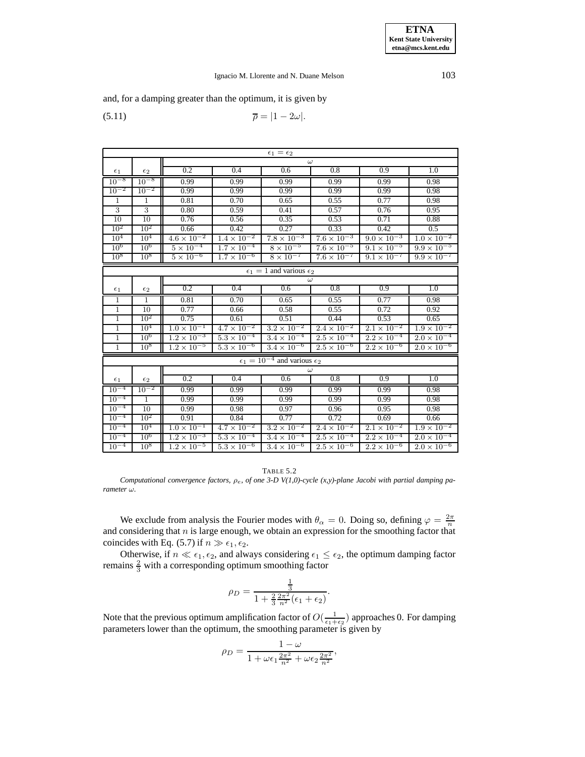# Ignacio M. Llorente and N. Duane Melson 103

and, for a damping greater than the optimum, it is given by

$$
\overline{\rho} = |1 - 2\omega|.
$$

| $\epsilon_1=\epsilon_2$ |                                           |                      |                      |                                                 |                      |                      |                      |  |  |
|-------------------------|-------------------------------------------|----------------------|----------------------|-------------------------------------------------|----------------------|----------------------|----------------------|--|--|
|                         |                                           |                      | $\omega$             |                                                 |                      |                      |                      |  |  |
| $\epsilon_1$            | $\epsilon_2$                              | 0.2                  | 0.4                  | 0.6                                             | 0.8                  | 0.9                  | 1.0                  |  |  |
| $10^{-8}$               | $10^{-8}$                                 | 0.99                 | 0.99                 | 0.99                                            | 0.99                 | 0.99                 | 0.98                 |  |  |
| $10^{-2}$               | $10^{-2}$                                 | 0.99                 | 0.99                 | 0.99                                            | 0.99                 | 0.99                 | 0.98                 |  |  |
| $\mathbf{1}$            | $\mathbf{1}$                              | 0.81                 | 0.70                 | 0.65                                            | 0.55                 | 0.77                 | 0.98                 |  |  |
| $\overline{3}$          | 3                                         | 0.80                 | 0.59                 | 0.41                                            | 0.57                 | 0.76                 | 0.95                 |  |  |
| $\overline{10}$         | 10                                        | 0.76                 | 0.56                 | 0.35                                            | 0.53                 | 0.71                 | 0.88                 |  |  |
| $10^{2}$                | $10^{2}$                                  | 0.66                 | 0.42                 | 0.27                                            | 0.33                 | 0.42                 | 0.5                  |  |  |
| 10 <sup>4</sup>         | $10^{4}$                                  | $4.6 \times 10^{-2}$ | $1.4 \times 10^{-2}$ | $7.8 \times 10^{-3}$                            | $7.6 \times 10^{-3}$ | $9.0 \times 10^{-3}$ | $1.0 \times 10^{-2}$ |  |  |
| 10 <sup>6</sup>         | $10^6$                                    | $5 \times 10^{-4}$   | $1.7 \times 10^{-4}$ | $8 \times 10^{-5}$                              | $7.6 \times 10^{-5}$ | $9.1 \times 10^{-5}$ | $9.9 \times 10^{-5}$ |  |  |
| 10 <sup>8</sup>         | $10^8$                                    | $5 \times 10^{-6}$   | $1.7 \times 10^{-6}$ | $8 \times 10^{-7}$                              | $7.6 \times 10^{-7}$ | $9.1 \times 10^{-7}$ | $9.9 \times 10^{-7}$ |  |  |
|                         | $\epsilon_1 = 1$ and various $\epsilon_2$ |                      |                      |                                                 |                      |                      |                      |  |  |
|                         |                                           |                      |                      |                                                 | $\omega$             |                      |                      |  |  |
| $\epsilon_1$            | $\epsilon_2$                              | 0.2                  | 0.4                  | 0.6                                             | 0.8                  | 0.9                  | 1.0                  |  |  |
| $\mathbf{1}$            | $\mathbf{1}$                              | 0.81                 | 0.70                 | 0.65                                            | 0.55                 | 0.77                 | 0.98                 |  |  |
| $\mathbf{1}$            | 10                                        | 0.77                 | 0.66                 | 0.58                                            | 0.55                 | 0.72                 | 0.92                 |  |  |
| $\mathbf{1}$            | $10^{2}$                                  | 0.75                 | 0.61                 | 0.51                                            | 0.44                 | 0.53                 | 0.65                 |  |  |
| $\mathbf{1}$            | $10^{4}$                                  | $1.0 \times 10^{-1}$ | $4.7 \times 10^{-2}$ | $3.2 \times 10^{-2}$                            | $2.4 \times 10^{-2}$ | $2.1 \times 10^{-2}$ | $1.9 \times 10^{-2}$ |  |  |
| $\overline{1}$          | $10^{6}$                                  | $1.2 \times 10^{-3}$ | $5.3 \times 10^{-4}$ | $3.4 \times 10^{-4}$                            | $2.5 \times 10^{-4}$ | $2.2 \times 10^{-4}$ | $2.0 \times 10^{-4}$ |  |  |
| $\overline{1}$          | 10 <sup>8</sup>                           | $1.2 \times 10^{-5}$ | $5.3 \times 10^{-6}$ | $3.4 \times 10^{-6}$                            | $2.5 \times 10^{-6}$ | $2.2 \times 10^{-6}$ | $2.0 \times 10^{-6}$ |  |  |
|                         |                                           |                      |                      | $\epsilon_1 = 10^{-4}$ and various $\epsilon_2$ |                      |                      |                      |  |  |
|                         |                                           |                      |                      |                                                 | $\omega$             |                      |                      |  |  |
| $\epsilon_1$            | $\epsilon_2$                              | 0.2                  | 0.4                  | 0.6                                             | 0.8                  | 0.9                  | 1.0                  |  |  |
| $10^{-4}$               | $10^{-2}$                                 | 0.99                 | 0.99                 | 0.99                                            | 0.99                 | 0.99                 | 0.98                 |  |  |
| $10^{-4}$               | $\mathbf{1}$                              | 0.99                 | 0.99                 | 0.99                                            | 0.99                 | 0.99                 | 0.98                 |  |  |
| $10^{-4}$               | 10                                        | 0.99                 | 0.98                 | 0.97                                            | 0.96                 | 0.95                 | 0.98                 |  |  |
| $10^{-4}$               | 10 <sup>2</sup>                           | 0.91                 | 0.84                 | 0.77                                            | 0.72                 | 0.69                 | 0.66                 |  |  |
| $10^{-4}$               | 10 <sup>4</sup>                           | $1.0 \times 10^{-1}$ | $4.7 \times 10^{-2}$ | $3.2 \times 10^{-2}$                            | $2.4 \times 10^{-2}$ | $2.1 \times 10^{-2}$ | $1.9 \times 10^{-2}$ |  |  |
| $10^{-4}$               | 10 <sup>6</sup>                           | $1.2 \times 10^{-3}$ | $5.3 \times 10^{-4}$ | $3.4 \times 10^{-4}$                            | $2.5 \times 10^{-4}$ | $2.2 \times 10^{-4}$ | $2.0 \times 10^{-4}$ |  |  |
| $10^{-4}$               | $10^{8}$                                  | $1.2 \times 10^{-5}$ | $5.3 \times 10^{-6}$ | $3.4 \times 10^{-6}$                            | $2.5 \times 10^{-6}$ | $2.2 \times 10^{-6}$ | $2.0 \times 10^{-6}$ |  |  |

### TABLE 5.2

*Computational convergence factors,* ρe*, of one 3-D V(1,0)-cycle (x,y)-plane Jacobi with partial damping parameter* ω*.*

We exclude from analysis the Fourier modes with  $\theta_{\alpha} = 0$ . Doing so, defining  $\varphi = \frac{2\pi}{n}$ and considering that  $n$  is large enough, we obtain an expression for the smoothing factor that coincides with Eq. (5.7) if  $n \gg \epsilon_1, \epsilon_2$ .

Otherwise, if  $n \ll \epsilon_1, \epsilon_2$ , and always considering  $\epsilon_1 \leq \epsilon_2$ , the optimum damping factor remains  $\frac{2}{3}$  with a corresponding optimum smoothing factor

$$
\rho_D = \frac{\frac{1}{3}}{1 + \frac{2}{3} \frac{2\pi^2}{n^2} (\epsilon_1 + \epsilon_2)}.
$$

Note that the previous optimum amplification factor of  $O(\frac{1}{\epsilon_1+\epsilon_2})$  approaches 0. For damping parameters lower than the optimum, the smoothing parameter is given by

$$
\rho_D=\frac{1-\omega}{1+\omega\epsilon_1\frac{2\pi^2}{n^2}+\omega\epsilon_2\frac{2\pi^2}{n^2}},
$$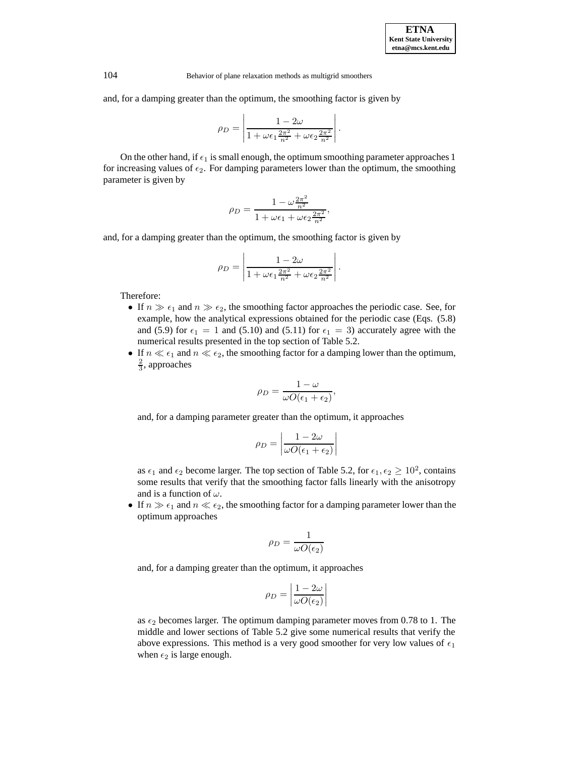and, for a damping greater than the optimum, the smoothing factor is given by

$$
\rho_D = \left| \frac{1 - 2\omega}{1 + \omega \epsilon_1 \frac{2\pi^2}{n^2} + \omega \epsilon_2 \frac{2\pi^2}{n^2}} \right|
$$

.

On the other hand, if  $\epsilon_1$  is small enough, the optimum smoothing parameter approaches 1 for increasing values of  $\epsilon_2$ . For damping parameters lower than the optimum, the smoothing parameter is given by

$$
\rho_D = \frac{1 - \omega \frac{2\pi^2}{n^2}}{1 + \omega \epsilon_1 + \omega \epsilon_2 \frac{2\pi^2}{n^2}},
$$

and, for a damping greater than the optimum, the smoothing factor is given by

$$
\rho_D = \left| \frac{1 - 2\omega}{1 + \omega \epsilon_1 \frac{2\pi^2}{n^2} + \omega \epsilon_2 \frac{2\pi^2}{n^2}} \right|.
$$

Therefore:

- If  $n \gg \epsilon_1$  and  $n \gg \epsilon_2$ , the smoothing factor approaches the periodic case. See, for example, how the analytical expressions obtained for the periodic case (Eqs. (5.8) and (5.9) for  $\epsilon_1 = 1$  and (5.10) and (5.11) for  $\epsilon_1 = 3$ ) accurately agree with the numerical results presented in the top section of Table 5.2.
- If  $n \ll \epsilon_1$  and  $n \ll \epsilon_2$ , the smoothing factor for a damping lower than the optimum,  $\frac{2}{3}$ , approaches

$$
\rho_D = \frac{1-\omega}{\omega O(\epsilon_1 + \epsilon_2)},
$$

and, for a damping parameter greater than the optimum, it approaches

$$
\rho_D = \left| \frac{1 - 2\omega}{\omega O(\epsilon_1 + \epsilon_2)} \right|
$$

as  $\epsilon_1$  and  $\epsilon_2$  become larger. The top section of Table 5.2, for  $\epsilon_1, \epsilon_2 \ge 10^2$ , contains some results that verify that the smoothing factor falls linearly with the anisotropy and is a function of  $\omega$ .

• If  $n \gg \epsilon_1$  and  $n \ll \epsilon_2$ , the smoothing factor for a damping parameter lower than the optimum approaches

$$
\rho_D = \frac{1}{\omega O(\epsilon_2)}
$$

and, for a damping greater than the optimum, it approaches

$$
\rho_D = \left| \frac{1 - 2\omega}{\omega O(\epsilon_2)} \right|
$$

as  $\epsilon_2$  becomes larger. The optimum damping parameter moves from 0.78 to 1. The middle and lower sections of Table 5.2 give some numerical results that verify the above expressions. This method is a very good smoother for very low values of  $\epsilon_1$ when  $\epsilon_2$  is large enough.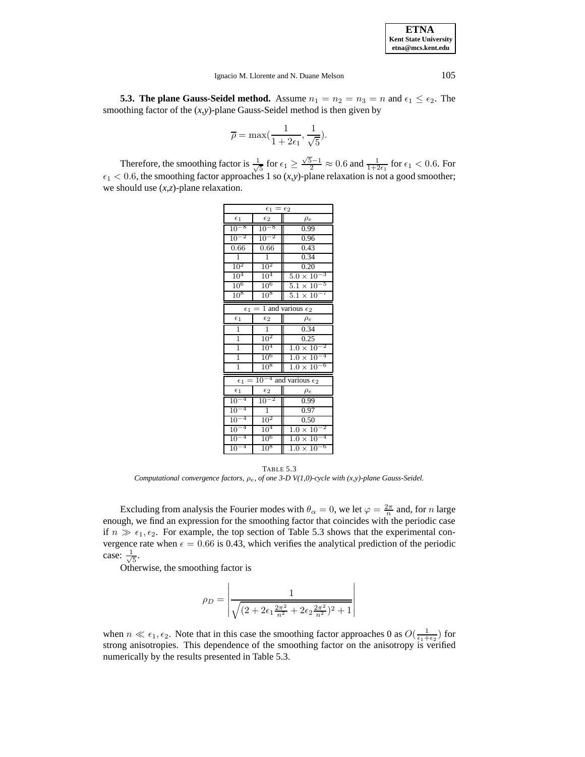Ignacio M. Llorente and N. Duane Melson 105

**5.3. The plane Gauss-Seidel method.** Assume  $n_1 = n_2 = n_3 = n$  and  $\epsilon_1 \leq \epsilon_2$ . The smoothing factor of the (*x*,*y*)-plane Gauss-Seidel method is then given by

$$
\overline{\rho} = \max(\frac{1}{1 + 2\epsilon_1}, \frac{1}{\sqrt{5}}).
$$

Therefore, the smoothing factor is  $\frac{1}{\sqrt{5}}$  for  $\epsilon_1 \ge \frac{\sqrt{5}-1}{2} \approx 0.6$  and  $\frac{1}{1+2\epsilon_1}$  for  $\epsilon_1 < 0.6$ . For  $\epsilon_1$  < 0.6, the smoothing factor approaches 1 so  $(x, y)$ -plane relaxation is not a good smoother; we should use (*x*,*z*)-plane relaxation.

| $\epsilon_1$<br>$=$<br>$\epsilon_2$ |                 |                                    |  |  |  |  |
|-------------------------------------|-----------------|------------------------------------|--|--|--|--|
| $\epsilon_1$                        | $\epsilon_2$    | $\rho_e$                           |  |  |  |  |
| $10^{-8}$                           | $10^{-8}$       | 0.99                               |  |  |  |  |
| $10^{-2}$                           | $10^{-2}$       | 0.96                               |  |  |  |  |
| 0.66                                | 0.66            | 0.43                               |  |  |  |  |
| $\overline{1}$                      | $\overline{1}$  | 0.34                               |  |  |  |  |
| $10^2$                              | 10 <sup>2</sup> | 0.20                               |  |  |  |  |
| $10^4$                              | $10^4$          | -3<br>$5.0 \times 10^{-7}$         |  |  |  |  |
| $10^6\,$                            | $10^6$          | 5<br>$5.1 \times 10^{-7}$          |  |  |  |  |
| $10^8$                              | $10^8$          | $5.1 \times 10$                    |  |  |  |  |
| $\epsilon_1$                        | $=$             | 1 and various $\epsilon_2$         |  |  |  |  |
| $\epsilon_1$                        | $\epsilon_2$    | $\rho_e$                           |  |  |  |  |
| $\overline{1}$                      | $\overline{1}$  | 0.34                               |  |  |  |  |
| 1                                   | $10^2$          | 0.25                               |  |  |  |  |
| $\overline{1}$                      | $10^4$          | -2<br>$1.0 \times 10^{-7}$         |  |  |  |  |
| $\overline{1}$                      | $10^6$          | 4<br>$1.0 \times 10^{-7}$          |  |  |  |  |
| $\overline{1}$                      | $10^8$          | -6<br>$1.0 \times 10^{-7}$         |  |  |  |  |
| $\epsilon_1$                        |                 | $10^{-4}$ and various $\epsilon_2$ |  |  |  |  |
| $\epsilon_1$                        | $\epsilon_2$    | $\rho_e$                           |  |  |  |  |
| 4<br>10 <sup>1</sup>                | $10^{-2}$       | 0.99                               |  |  |  |  |
| 4<br>10 <sup>1</sup>                | $\overline{1}$  | 0.97                               |  |  |  |  |
| 4<br>10 <sup>1</sup>                | $10^2$          | 0.50                               |  |  |  |  |
| 4<br>10 <sup>1</sup>                | 10 <sup>4</sup> | 2<br>$1.0 \times 10^{-7}$          |  |  |  |  |
| $10^{\circ}$<br>4                   | $10^6$          | $1.0 \times 10^{-7}$               |  |  |  |  |
| $10^{-4}$                           | $10^8$          | $1.0 \times 10^{-6}$               |  |  |  |  |

TABLE 5.3 *Computational convergence factors,* ρe*, of one 3-D V(1,0)-cycle with (x,y)-plane Gauss-Seidel.*

Excluding from analysis the Fourier modes with  $\theta_{\alpha} = 0$ , we let  $\varphi = \frac{2\pi}{n}$  and, for *n* large enough, we find an expression for the smoothing factor that coincides with the periodic case if  $n \gg \epsilon_1, \epsilon_2$ . For example, the top section of Table 5.3 shows that the experimental convergence rate when  $\epsilon = 0.66$  is 0.43, which verifies the analytical prediction of the periodic case:  $\frac{1}{\sqrt{5}}$ .

Otherwise, the smoothing factor is

$$
\rho_D = \left| \frac{1}{\sqrt{(2 + 2\epsilon_1 \frac{2\pi^2}{n^2} + 2\epsilon_2 \frac{2\pi^2}{n^2})^2 + 1}} \right|
$$

when  $n \ll \epsilon_1, \epsilon_2$ . Note that in this case the smoothing factor approaches 0 as  $O(\frac{1}{\epsilon_1+\epsilon_2})$  for strong anisotropies. This dependence of the smoothing factor on the anisotropy is verified numerically by the results presented in Table 5.3.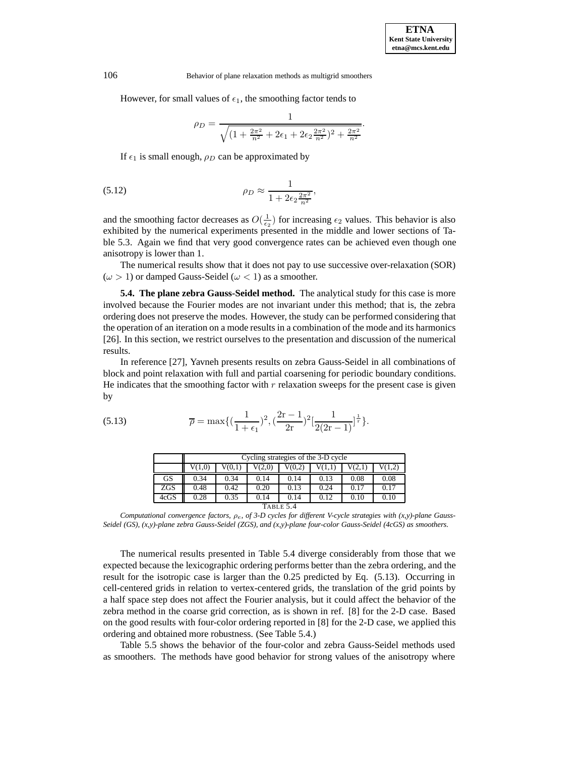However, for small values of  $\epsilon_1$ , the smoothing factor tends to

$$
\rho_D = \frac{1}{\sqrt{(1 + \frac{2\pi^2}{n^2} + 2\epsilon_1 + 2\epsilon_2 \frac{2\pi^2}{n^2})^2 + \frac{2\pi^2}{n^2}}}.
$$

If  $\epsilon_1$  is small enough,  $\rho_D$  can be approximated by

(5.12) 
$$
\rho_D \approx \frac{1}{1 + 2\epsilon_2 \frac{2\pi^2}{n^2}},
$$

and the smoothing factor decreases as  $O(\frac{1}{\epsilon_2})$  for increasing  $\epsilon_2$  values. This behavior is also exhibited by the numerical experiments presented in the middle and lower sections of Table 5.3. Again we find that very good convergence rates can be achieved even though one anisotropy is lower than 1.

The numerical results show that it does not pay to use successive over-relaxation (SOR)  $(\omega > 1)$  or damped Gauss-Seidel  $(\omega < 1)$  as a smoother.

**5.4. The plane zebra Gauss-Seidel method.** The analytical study for this case is more involved because the Fourier modes are not invariant under this method; that is, the zebra ordering does not preserve the modes. However, the study can be performed considering that the operation of an iteration on a mode results in a combination of the mode and its harmonics [26]. In this section, we restrict ourselves to the presentation and discussion of the numerical results.

In reference [27], Yavneh presents results on zebra Gauss-Seidel in all combinations of block and point relaxation with full and partial coarsening for periodic boundary conditions. He indicates that the smoothing factor with  $r$  relaxation sweeps for the present case is given by

(5.13) 
$$
\overline{\rho} = \max\{(\frac{1}{1+\epsilon_1})^2, (\frac{2r-1}{2r})^2[\frac{1}{2(2r-1)}]^{\frac{1}{r}}\}.
$$

|            | Cycling strategies of the 3-D cycle                      |      |      |      |      |      |      |  |
|------------|----------------------------------------------------------|------|------|------|------|------|------|--|
|            | V(1,0)<br>V(0,1)<br>V(0,2)<br>V(2,1)<br>V(1,2)<br>V(2,0) |      |      |      |      |      |      |  |
| GS         | 0.34                                                     | 0.34 | 0.14 | 0.14 | 0.13 | 0.08 | 0.08 |  |
| <b>ZGS</b> | 0.48                                                     | 0.42 | 0.20 | 0.13 | 0.24 | 0.17 | 0.17 |  |
| 4cGS       | 0.28                                                     | 0.35 | 0.14 | 0.14 | 0.12 | 0.10 | 0.10 |  |
| TABLE 5.4  |                                                          |      |      |      |      |      |      |  |

*Computational convergence factors,* ρe*, of 3-D cycles for different V-cycle strategies with (x,y)-plane Gauss-Seidel (GS), (x,y)-plane zebra Gauss-Seidel (ZGS), and (x,y)-plane four-color Gauss-Seidel (4cGS) as smoothers.*

The numerical results presented in Table 5.4 diverge considerably from those that we expected because the lexicographic ordering performs better than the zebra ordering, and the result for the isotropic case is larger than the 0.25 predicted by Eq. (5.13). Occurring in cell-centered grids in relation to vertex-centered grids, the translation of the grid points by a half space step does not affect the Fourier analysis, but it could affect the behavior of the zebra method in the coarse grid correction, as is shown in ref. [8] for the 2-D case. Based on the good results with four-color ordering reported in [8] for the 2-D case, we applied this ordering and obtained more robustness. (See Table 5.4.)

Table 5.5 shows the behavior of the four-color and zebra Gauss-Seidel methods used as smoothers. The methods have good behavior for strong values of the anisotropy where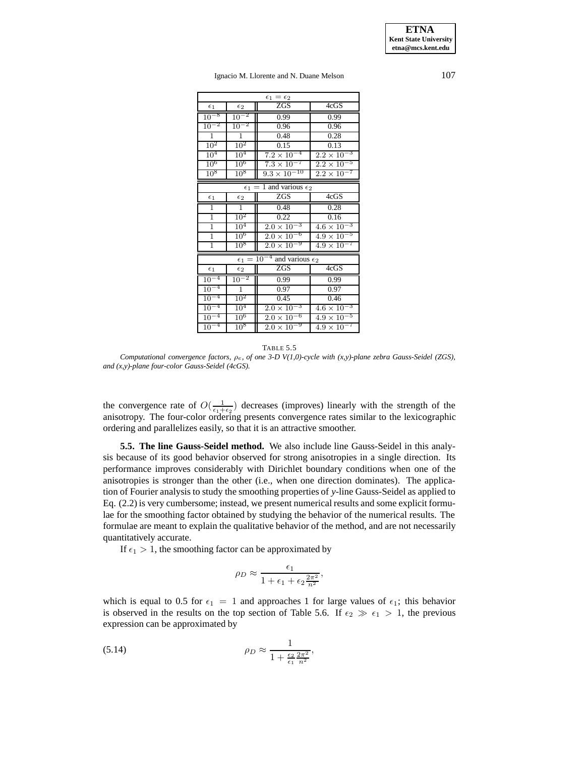Ignacio M. Llorente and N. Duane Melson 107

| $\epsilon_1=\epsilon_2$ |                 |                                       |                                 |  |  |  |  |
|-------------------------|-----------------|---------------------------------------|---------------------------------|--|--|--|--|
| $\epsilon_1$            | $\epsilon_2$    | ZGS                                   | 4cGS                            |  |  |  |  |
| $10^{-8}$               | $10^{-2}$       | 0.99                                  | 0.99                            |  |  |  |  |
| $10^{-2}$               | $10^{-2}$       | 0.96                                  | 0.96                            |  |  |  |  |
| $\mathbf{1}$            | $\mathbf{1}$    | 0.48                                  | 0.28                            |  |  |  |  |
| $10^{2}$                | $10^2$          | 0.15                                  | 0.13                            |  |  |  |  |
| 10 <sup>4</sup>         | 10 <sup>4</sup> | $7.\overline{2 \times 10^{-4}}$       | $2.2 \times 10^{-3}$            |  |  |  |  |
| $10^6$                  | $10^6$          | $7.3 \times 10^{-7}$                  | -5<br>$2.2 \times 10$           |  |  |  |  |
| $10^{8}$                | $10^8$          | $9.3 \times 10^{-10}$                 | $2.2 \times 10^{-7}$            |  |  |  |  |
|                         | $\epsilon_1$    | $=$ 1 and various $\epsilon_2$        |                                 |  |  |  |  |
| $\epsilon_1$            | $\epsilon_2$    | <b>ZGS</b>                            | 4cGS                            |  |  |  |  |
| $\overline{1}$          | $\overline{1}$  | 0.48                                  | 0.28                            |  |  |  |  |
| $\overline{1}$          | $10^{2}$        | 0.22                                  | 0.16                            |  |  |  |  |
| $\overline{1}$          | 10 <sup>4</sup> | $2.0 \times 10^{-3}$                  | $4.6 \times 10^{-3}$            |  |  |  |  |
| $\overline{1}$          | $10^{6}$        | $2.0 \times 10^{-6}$                  | $4.9 \times 10^{-5}$            |  |  |  |  |
| ī                       | $10^8$          | $2.0 \times 10^{-9}$                  | $4.9 \times 10^{-7}$            |  |  |  |  |
|                         | $\epsilon_1 =$  | $10^{-4}$<br>and various $\epsilon_2$ |                                 |  |  |  |  |
| $\epsilon_1$            | $\epsilon_2$    | <b>ZGS</b>                            | 4cGS                            |  |  |  |  |
| -4<br>$10^{-}$          | $10^{-2}$       | 0.99                                  | 0.99                            |  |  |  |  |
| $10^{-4}$               | $\overline{1}$  | 0.97                                  | 0.97                            |  |  |  |  |
| $10^{-4}$               | 10 <sup>2</sup> | 0.45                                  | 0.46                            |  |  |  |  |
| $10^{-4}$               | $10^4$          | $2.0 \times 10^{-3}$                  | $4.6 \times 10^{-3}$            |  |  |  |  |
| $10^{-4}$               | $10^6$          | $2.\overline{0 \times 10^{-6}}$       | $4.\overline{9 \times 10^{-5}}$ |  |  |  |  |
| $10^{-4}$               | $10^8$          | $2.0 \times 10^{-9}$                  | $4.9 \times 10^{-7}$            |  |  |  |  |

TABLE 5.5

*Computational convergence factors,* ρe*, of one 3-D V(1,0)-cycle with (x,y)-plane zebra Gauss-Seidel (ZGS), and (x,y)-plane four-color Gauss-Seidel (4cGS).*

the convergence rate of  $O(\frac{1}{\epsilon_1+\epsilon_2})$  decreases (improves) linearly with the strength of the anisotropy. The four-color ordering presents convergence rates similar to the lexicographic ordering and parallelizes easily, so that it is an attractive smoother.

**5.5. The line Gauss-Seidel method.** We also include line Gauss-Seidel in this analysis because of its good behavior observed for strong anisotropies in a single direction. Its performance improves considerably with Dirichlet boundary conditions when one of the anisotropies is stronger than the other (i.e., when one direction dominates). The application of Fourier analysis to study the smoothing properties of *y*-line Gauss-Seidel as applied to Eq. (2.2) is very cumbersome; instead, we present numerical results and some explicit formulae for the smoothing factor obtained by studying the behavior of the numerical results. The formulae are meant to explain the qualitative behavior of the method, and are not necessarily quantitatively accurate.

If  $\epsilon_1 > 1$ , the smoothing factor can be approximated by

$$
\rho_D \approx \frac{\epsilon_1}{1 + \epsilon_1 + \epsilon_2 \frac{2\pi^2}{n^2}},
$$

which is equal to 0.5 for  $\epsilon_1 = 1$  and approaches 1 for large values of  $\epsilon_1$ ; this behavior is observed in the results on the top section of Table 5.6. If  $\epsilon_2 \gg \epsilon_1 > 1$ , the previous expression can be approximated by

$$
\rho_D \approx \frac{1}{1 + \frac{\epsilon_2}{\epsilon_1} \frac{2\pi^2}{n^2}},
$$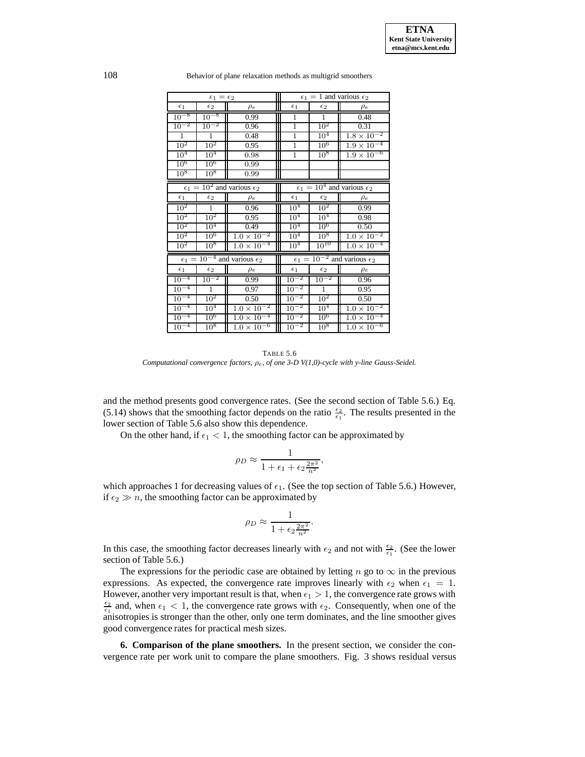|                 | $\epsilon_1=\epsilon_2$ |                                                 | $\epsilon_1 = 1$ and various $\epsilon_2$ |                 |                                                 |  |
|-----------------|-------------------------|-------------------------------------------------|-------------------------------------------|-----------------|-------------------------------------------------|--|
| $\epsilon_1$    | $\epsilon_2$            | $\rho_e$                                        | $\epsilon_1$                              | $\epsilon_2$    | $\rho_e$                                        |  |
| $10^{-8}$       | $10^{-8}$               | 0.99                                            | 1                                         | $\mathbf{1}$    | 0.48                                            |  |
| $10^{-2}$       | $10^{-2}$               | 0.96                                            | $\overline{1}$                            | $10^{2}$        | 0.31                                            |  |
| $\mathbf{1}$    | $\mathbf{1}$            | 0.48                                            | $\overline{1}$                            | 10 <sup>4</sup> | $1.8 \times 10^{-2}$                            |  |
| $10^2$          | $10^2$                  | 0.95                                            | $\overline{1}$                            | $10^6$          | $1.\overline{9 \times 10^{-4}}$                 |  |
| $10^4$          | 10 <sup>4</sup>         | 0.98                                            | $\mathbf{1}$                              | $10^{8}$        | $1.\overline{9 \times 10^{-6}}$                 |  |
| $10^6$          | $10^6$                  | 0.99                                            |                                           |                 |                                                 |  |
| $10^8$          | $10^8$                  | 0.99                                            |                                           |                 |                                                 |  |
|                 |                         | $\epsilon_1 = 10^2$ and various $\epsilon_2$    |                                           |                 | $\epsilon_1 = 10^4$ and various $\epsilon_2$    |  |
| $\epsilon_1$    | $\epsilon_2$            | $\rho_e$                                        | $\epsilon_1$                              | $\epsilon_2$    | $\rho_e$                                        |  |
| $10^{2}$        | $\overline{1}$          | 0.96                                            | $10^{4}$                                  | $10^{2}$        | 0.99                                            |  |
| $10^{2}$        | $10^2$                  | 0.95                                            | 10 <sup>4</sup>                           | 10 <sup>4</sup> | 0.98                                            |  |
| $10^2$          | $10^4$                  | 0.49                                            | 10 <sup>4</sup>                           | $10^6$          | 0.50                                            |  |
| 10 <sup>2</sup> | $10^6$                  | $1.0 \times \overline{10^{-2}}$                 | 10 <sup>4</sup>                           | $10^{8}$        | $1.0 \times \overline{10^{-2}}$                 |  |
| $10^2$          | 10 <sup>8</sup>         | $1.\overline{0 \times 10^{-4}}$                 | $10^{4}$                                  | $10^{10}$       | $1.0 \times \overline{10^{-4}}$                 |  |
|                 |                         | $\epsilon_1 = 10^{-4}$ and various $\epsilon_2$ |                                           |                 | $\epsilon_1 = 10^{-2}$ and various $\epsilon_2$ |  |
| $\epsilon_1$    | $\epsilon_2$            | $\rho_e$                                        | $\epsilon_1$                              | $\epsilon_2$    | $\rho_e$                                        |  |
| $10^{-4}$       | $10^{-2}$               | 0.99                                            | $10^{-2}$                                 | $10^{-2}$       | 0.96                                            |  |
| $10^{-4}$       | $\mathbf{1}$            | 0.97                                            | -2<br>10 <sup>7</sup>                     | $\mathbf{1}$    | 0.95                                            |  |
| $10^{-4}$       | $10^{2}$                | 0.50                                            | ٠2<br>$10-$                               | $10^{2}$        | 0.50                                            |  |
| $10^{-4}$       | $10^4$                  | $1.0 \times \overline{10^{-2}}$                 | $10^{-2}$                                 | 10 <sup>4</sup> | $1.\overline{0 \times 10^{-2}}$                 |  |
| $10^{-4}$       | $10^6$                  | $1.0 \times 10^{-4}$                            | $\cdot$ <sup>2</sup><br>$10^{-}$          | 10 <sup>6</sup> | $1.0 \times 10^{-4}$                            |  |
| $10^{-4}$       | $10^8$                  | $1.0 \times \overline{10^{-6}}$                 | $\cdot$ <sup>2</sup><br>10 <sup>°</sup>   | 10 <sup>8</sup> | $1.0 \times 10^{-6}$                            |  |

108 Behavior of plane relaxation methods as multigrid smoothers

TABLE 5.6 *Computational convergence factors,* ρe*, of one 3-D V(1,0)-cycle with y-line Gauss-Seidel.*

and the method presents good convergence rates. (See the second section of Table 5.6.) Eq. (5.14) shows that the smoothing factor depends on the ratio  $\frac{\epsilon_2}{\epsilon_1}$ . The results presented in the lower section of Table 5.6 also show this dependence.

On the other hand, if  $\epsilon_1 < 1$ , the smoothing factor can be approximated by

$$
\rho_D \approx \frac{1}{1 + \epsilon_1 + \epsilon_2 \frac{2\pi^2}{n^2}},
$$

which approaches 1 for decreasing values of  $\epsilon_1$ . (See the top section of Table 5.6.) However, if  $\epsilon_2 \gg n$ , the smoothing factor can be approximated by

$$
\rho_D \approx \frac{1}{1 + \epsilon_2 \frac{2\pi^2}{n^2}}.
$$

In this case, the smoothing factor decreases linearly with  $\epsilon_2$  and not with  $\frac{\epsilon_2}{\epsilon_1}$ . (See the lower section of Table 5.6.)

The expressions for the periodic case are obtained by letting n go to  $\infty$  in the previous expressions. As expected, the convergence rate improves linearly with  $\epsilon_2$  when  $\epsilon_1 = 1$ . However, another very important result is that, when  $\epsilon_1 > 1$ , the convergence rate grows with  $\frac{\epsilon_2}{\epsilon_1}$  and, when  $\epsilon_1$  < 1, the convergence rate grows with  $\epsilon_2$ . Consequently, when one of the anisotropies is stronger than the other, only one term dominates, and the line smoother gives good convergence rates for practical mesh sizes.

**6. Comparison of the plane smoothers.** In the present section, we consider the convergence rate per work unit to compare the plane smoothers. Fig. 3 shows residual versus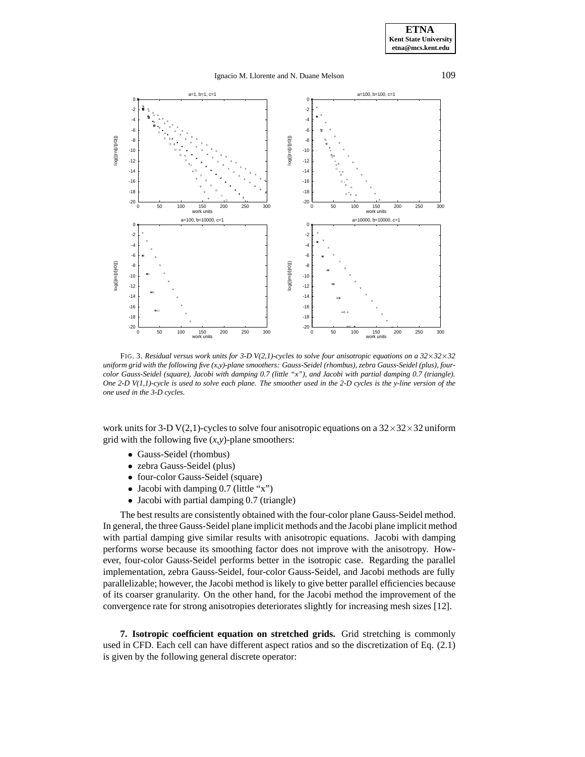### Ignacio M. Llorente and N. Duane Melson 109



FIG. 3. *Residual versus work units for 3-D V(2,1)-cycles to solve four anisotropic equations on a 32*×*32*×*32 uniform grid with the following five (x,y)-plane smoothers: Gauss-Seidel (rhombus), zebra Gauss-Seidel (plus), fourcolor Gauss-Seidel (square), Jacobi with damping 0.7 (little "x"), and Jacobi with partial damping 0.7 (triangle). One 2-D V(1,1)-cycle is used to solve each plane. The smoother used in the 2-D cycles is the y-line version of the one used in the 3-D cycles.*

work units for 3-D V(2,1)-cycles to solve four anisotropic equations on a  $32\times32\times32$  uniform grid with the following five (*x*,*y*)-plane smoothers:

- Gauss-Seidel (rhombus)
- zebra Gauss-Seidel (plus)
- four-color Gauss-Seidel (square)
- Jacobi with damping 0.7 (little "x")
- Jacobi with partial damping 0.7 (triangle)

The best results are consistently obtained with the four-color plane Gauss-Seidel method. In general, the three Gauss-Seidel plane implicit methods and the Jacobi plane implicit method with partial damping give similar results with anisotropic equations. Jacobi with damping performs worse because its smoothing factor does not improve with the anisotropy. However, four-color Gauss-Seidel performs better in the isotropic case. Regarding the parallel implementation, zebra Gauss-Seidel, four-color Gauss-Seidel, and Jacobi methods are fully parallelizable; however, the Jacobi method is likely to give better parallel efficiencies because of its coarser granularity. On the other hand, for the Jacobi method the improvement of the convergence rate for strong anisotropies deteriorates slightly for increasing mesh sizes [12].

**7. Isotropic coefficient equation on stretched grids.** Grid stretching is commonly used in CFD. Each cell can have different aspect ratios and so the discretization of Eq. (2.1) is given by the following general discrete operator: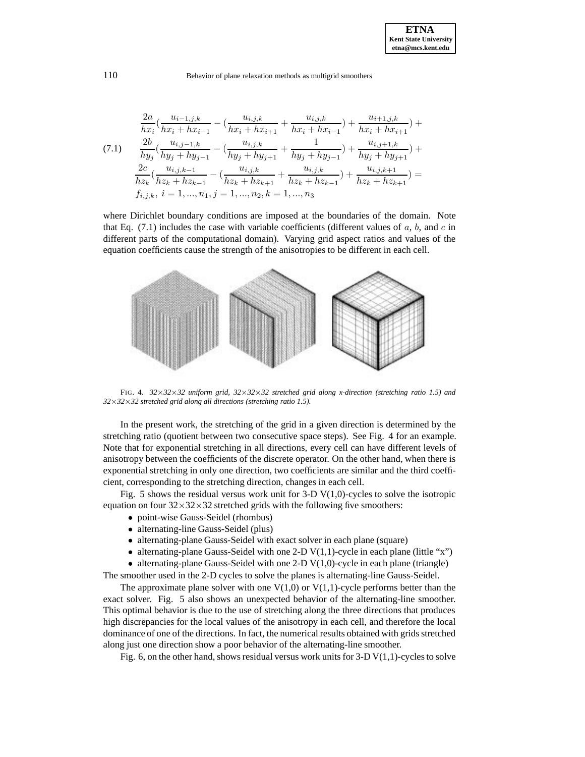$$
\frac{2a}{hx_i} \left( \frac{u_{i-1,j,k}}{hx_i + hx_{i-1}} - \left( \frac{u_{i,j,k}}{hx_i + hx_{i+1}} + \frac{u_{i,j,k}}{hx_i + hx_{i-1}} \right) + \frac{u_{i+1,j,k}}{hx_i + hx_{i+1}} \right) +
$$
\n
$$
(7.1)
$$
\n
$$
\frac{2b}{hy_j} \left( \frac{u_{i,j-1,k}}{hy_j + hy_{j-1}} - \left( \frac{u_{i,j,k}}{hy_j + hy_{j+1}} + \frac{1}{hy_j + hy_{j-1}} \right) + \frac{u_{i,j+1,k}}{hy_j + hy_{j+1}} \right) +
$$
\n
$$
\frac{2c}{hz_k} \left( \frac{u_{i,j,k-1}}{hz_k + hz_{k-1}} - \left( \frac{u_{i,j,k}}{hz_k + hz_{k+1}} + \frac{u_{i,j,k}}{hz_k + hz_{k-1}} \right) + \frac{u_{i,j,k+1}}{hz_k + hz_{k+1}} \right) =
$$
\n
$$
f_{i,j,k}, i = 1, ..., n_1, j = 1, ..., n_2, k = 1, ..., n_3
$$

where Dirichlet boundary conditions are imposed at the boundaries of the domain. Note that Eq.  $(7.1)$  includes the case with variable coefficients (different values of a, b, and c in different parts of the computational domain). Varying grid aspect ratios and values of the equation coefficients cause the strength of the anisotropies to be different in each cell.



FIG. 4. *32*×*32*×*32 uniform grid, 32*×*32*×*32 stretched grid along x-direction (stretching ratio 1.5) and 32*×*32*×*32 stretched grid along all directions (stretching ratio 1.5).*

In the present work, the stretching of the grid in a given direction is determined by the stretching ratio (quotient between two consecutive space steps). See Fig. 4 for an example. Note that for exponential stretching in all directions, every cell can have different levels of anisotropy between the coefficients of the discrete operator. On the other hand, when there is exponential stretching in only one direction, two coefficients are similar and the third coefficient, corresponding to the stretching direction, changes in each cell.

Fig. 5 shows the residual versus work unit for  $3-D$  V(1,0)-cycles to solve the isotropic equation on four  $32\times32\times32$  stretched grids with the following five smoothers:

- point-wise Gauss-Seidel (rhombus)
- alternating-line Gauss-Seidel (plus)
- alternating-plane Gauss-Seidel with exact solver in each plane (square)
- alternating-plane Gauss-Seidel with one 2-D  $V(1,1)$ -cycle in each plane (little "x")

• alternating-plane Gauss-Seidel with one 2-D  $V(1,0)$ -cycle in each plane (triangle) The smoother used in the 2-D cycles to solve the planes is alternating-line Gauss-Seidel.

The approximate plane solver with one  $V(1,0)$  or  $V(1,1)$ -cycle performs better than the exact solver. Fig. 5 also shows an unexpected behavior of the alternating-line smoother. This optimal behavior is due to the use of stretching along the three directions that produces high discrepancies for the local values of the anisotropy in each cell, and therefore the local dominance of one of the directions. In fact, the numerical results obtained with grids stretched along just one direction show a poor behavior of the alternating-line smoother.

Fig. 6, on the other hand, shows residual versus work units for  $3-D$  V(1,1)-cycles to solve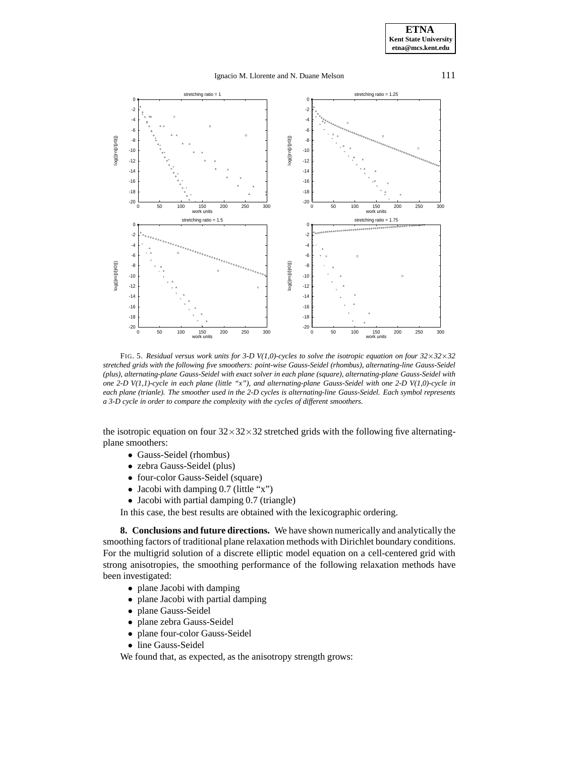## Ignacio M. Llorente and N. Duane Melson 111



FIG. 5. *Residual versus work units for 3-D V(1,0)-cycles to solve the isotropic equation on four 32*×*32*×*32 stretched grids with the following five smoothers: point-wise Gauss-Seidel (rhombus), alternating-line Gauss-Seidel (plus), alternating-plane Gauss-Seidel with exact solver in each plane (square), alternating-plane Gauss-Seidel with one 2-D V(1,1)-cycle in each plane (little "x"), and alternating-plane Gauss-Seidel with one 2-D V(1,0)-cycle in each plane (trianle). The smoother used in the 2-D cycles is alternating-line Gauss-Seidel. Each symbol represents a 3-D cycle in order to compare the complexity with the cycles of different smoothers.*

the isotropic equation on four  $32\times32\times32$  stretched grids with the following five alternatingplane smoothers:

- Gauss-Seidel (rhombus)
- zebra Gauss-Seidel (plus)
- four-color Gauss-Seidel (square)
- Jacobi with damping 0.7 (little "x")
- Jacobi with partial damping 0.7 (triangle)

In this case, the best results are obtained with the lexicographic ordering.

**8. Conclusions and future directions.** We have shown numerically and analytically the smoothing factors of traditional plane relaxation methods with Dirichlet boundary conditions. For the multigrid solution of a discrete elliptic model equation on a cell-centered grid with strong anisotropies, the smoothing performance of the following relaxation methods have been investigated:

- plane Jacobi with damping
- plane Jacobi with partial damping
- plane Gauss-Seidel
- plane zebra Gauss-Seidel
- plane four-color Gauss-Seidel
- line Gauss-Seidel

We found that, as expected, as the anisotropy strength grows: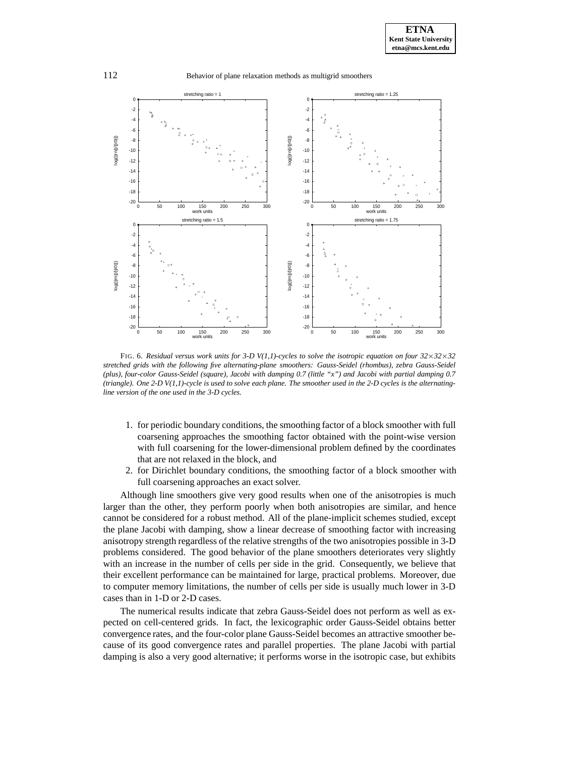

FIG. 6. *Residual versus work units for 3-D V(1,1)-cycles to solve the isotropic equation on four 32*×*32*×*32 stretched grids with the following five alternating-plane smoothers: Gauss-Seidel (rhombus), zebra Gauss-Seidel (plus), four-color Gauss-Seidel (square), Jacobi with damping 0.7 (little "x") and Jacobi with partial damping 0.7 (triangle). One 2-D V(1,1)-cycle is used to solve each plane. The smoother used in the 2-D cycles is the alternatingline version of the one used in the 3-D cycles.*

- 1. for periodic boundary conditions, the smoothing factor of a block smoother with full coarsening approaches the smoothing factor obtained with the point-wise version with full coarsening for the lower-dimensional problem defined by the coordinates that are not relaxed in the block, and
- 2. for Dirichlet boundary conditions, the smoothing factor of a block smoother with full coarsening approaches an exact solver.

Although line smoothers give very good results when one of the anisotropies is much larger than the other, they perform poorly when both anisotropies are similar, and hence cannot be considered for a robust method. All of the plane-implicit schemes studied, except the plane Jacobi with damping, show a linear decrease of smoothing factor with increasing anisotropy strength regardless of the relative strengths of the two anisotropies possible in 3-D problems considered. The good behavior of the plane smoothers deteriorates very slightly with an increase in the number of cells per side in the grid. Consequently, we believe that their excellent performance can be maintained for large, practical problems. Moreover, due to computer memory limitations, the number of cells per side is usually much lower in 3-D cases than in 1-D or 2-D cases.

The numerical results indicate that zebra Gauss-Seidel does not perform as well as expected on cell-centered grids. In fact, the lexicographic order Gauss-Seidel obtains better convergence rates, and the four-color plane Gauss-Seidel becomes an attractive smoother because of its good convergence rates and parallel properties. The plane Jacobi with partial damping is also a very good alternative; it performs worse in the isotropic case, but exhibits

112 Behavior of plane relaxation methods as multigrid smoothers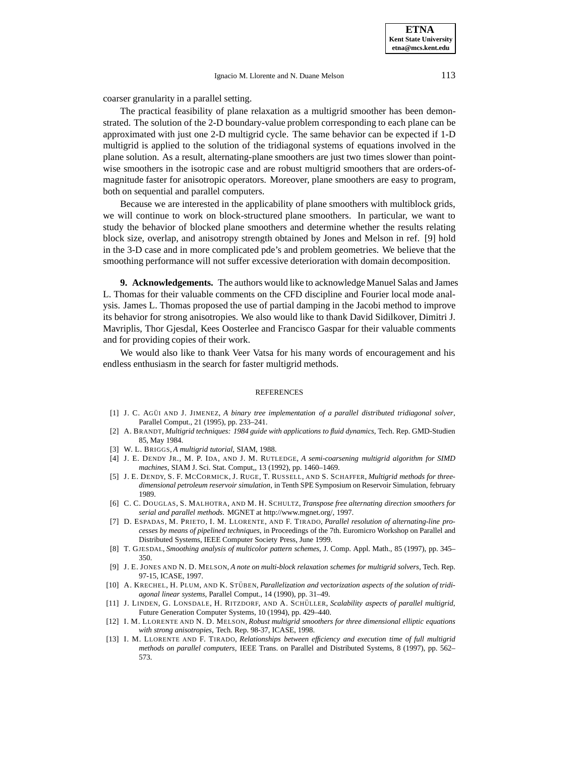coarser granularity in a parallel setting.

The practical feasibility of plane relaxation as a multigrid smoother has been demonstrated. The solution of the 2-D boundary-value problem corresponding to each plane can be approximated with just one 2-D multigrid cycle. The same behavior can be expected if 1-D multigrid is applied to the solution of the tridiagonal systems of equations involved in the plane solution. As a result, alternating-plane smoothers are just two times slower than pointwise smoothers in the isotropic case and are robust multigrid smoothers that are orders-ofmagnitude faster for anisotropic operators. Moreover, plane smoothers are easy to program, both on sequential and parallel computers.

Because we are interested in the applicability of plane smoothers with multiblock grids, we will continue to work on block-structured plane smoothers. In particular, we want to study the behavior of blocked plane smoothers and determine whether the results relating block size, overlap, and anisotropy strength obtained by Jones and Melson in ref. [9] hold in the 3-D case and in more complicated pde's and problem geometries. We believe that the smoothing performance will not suffer excessive deterioration with domain decomposition.

**9. Acknowledgements.** The authors would like to acknowledge Manuel Salas and James L. Thomas for their valuable comments on the CFD discipline and Fourier local mode analysis. James L. Thomas proposed the use of partial damping in the Jacobi method to improve its behavior for strong anisotropies. We also would like to thank David Sidilkover, Dimitri J. Mavriplis, Thor Gjesdal, Kees Oosterlee and Francisco Gaspar for their valuable comments and for providing copies of their work.

We would also like to thank Veer Vatsa for his many words of encouragement and his endless enthusiasm in the search for faster multigrid methods.

#### **REFERENCES**

- [1] J. C. AGUI AND J. JIMENEZ, *A binary tree implementation of a parallel distributed tridiagonal solver*, Parallel Comput., 21 (1995), pp. 233–241.
- [2] A. BRANDT, *Multigrid techniques: 1984 guide with applications to fluid dynamics*, Tech. Rep. GMD-Studien 85, May 1984.
- [3] W. L. BRIGGS, *A multigrid tutorial*, SIAM, 1988.
- [4] J. E. DENDY JR., M. P. IDA, AND J. M. RUTLEDGE, *A semi-coarsening multigrid algorithm for SIMD machines*, SIAM J. Sci. Stat. Comput,, 13 (1992), pp. 1460–1469.
- [5] J. E. DENDY, S. F. MCCORMICK, J. RUGE, T. RUSSELL, AND S. SCHAFFER, *Multigrid methods for threedimensional petroleum reservoir simulation*, in Tenth SPE Symposium on Reservoir Simulation, february 1989.
- [6] C. C. DOUGLAS, S. MALHOTRA, AND M. H. SCHULTZ, *Transpose free alternating direction smoothers for serial and parallel methods*. MGNET at http://www.mgnet.org/, 1997.
- [7] D. ESPADAS, M. PRIETO, I. M. LLORENTE, AND F. TIRADO, *Parallel resolution of alternating-line processes by means of pipelined techniques*, in Proceedings of the 7th. Euromicro Workshop on Parallel and Distributed Systems, IEEE Computer Society Press, June 1999.
- [8] T. GJESDAL, *Smoothing analysis of multicolor pattern schemes*, J. Comp. Appl. Math., 85 (1997), pp. 345– 350.
- [9] J. E. JONES AND N. D. MELSON, *A note on multi-block relaxation schemes for multigrid solvers*, Tech. Rep. 97-15, ICASE, 1997.
- [10] A. KRECHEL, H. PLUM, AND K. STÜBEN, *Parallelization and vectorization aspects of the solution of tridiagonal linear systems*, Parallel Comput., 14 (1990), pp. 31–49.
- [11] J. LINDEN, G. LONSDALE, H. RITZDORF, AND A. SCHÜLLER, *Scalability aspects of parallel multigrid*, Future Generation Computer Systems, 10 (1994), pp. 429–440.
- [12] I. M. LLORENTE AND N. D. MELSON, *Robust multigrid smoothers for three dimensional elliptic equations with strong anisotropies*, Tech. Rep. 98-37, ICASE, 1998.
- [13] I. M. LLORENTE AND F. TIRADO, *Relationships between efficiency and execution time of full multigrid methods on parallel computers*, IEEE Trans. on Parallel and Distributed Systems, 8 (1997), pp. 562– 573.